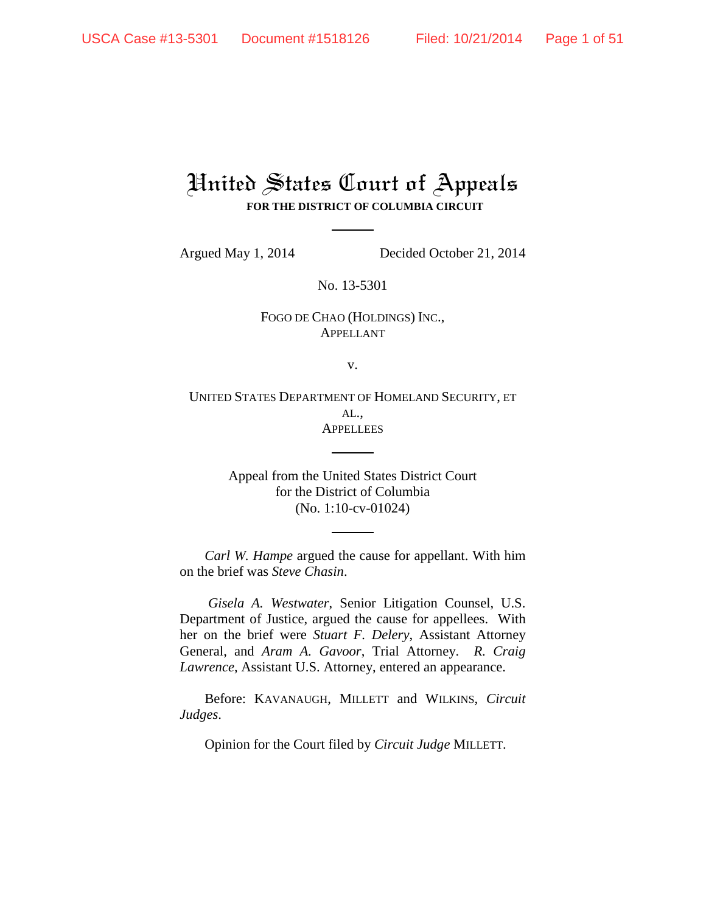# United States Court of Appeals **FOR THE DISTRICT OF COLUMBIA CIRCUIT**

Argued May 1, 2014 Decided October 21, 2014

No. 13-5301

# FOGO DE CHAO (HOLDINGS) INC., APPELLANT

v.

UNITED STATES DEPARTMENT OF HOMELAND SECURITY, ET AL., **APPELLEES** 

> Appeal from the United States District Court for the District of Columbia (No. 1:10-cv-01024)

*Carl W. Hampe* argued the cause for appellant. With him on the brief was *Steve Chasin*.

*Gisela A. Westwater*, Senior Litigation Counsel, U.S. Department of Justice, argued the cause for appellees. With her on the brief were *Stuart F. Delery*, Assistant Attorney General, and *Aram A. Gavoor*, Trial Attorney. *R. Craig Lawrence*, Assistant U.S. Attorney, entered an appearance.

Before: KAVANAUGH, MILLETT and WILKINS, *Circuit Judges*.

Opinion for the Court filed by *Circuit Judge* MILLETT.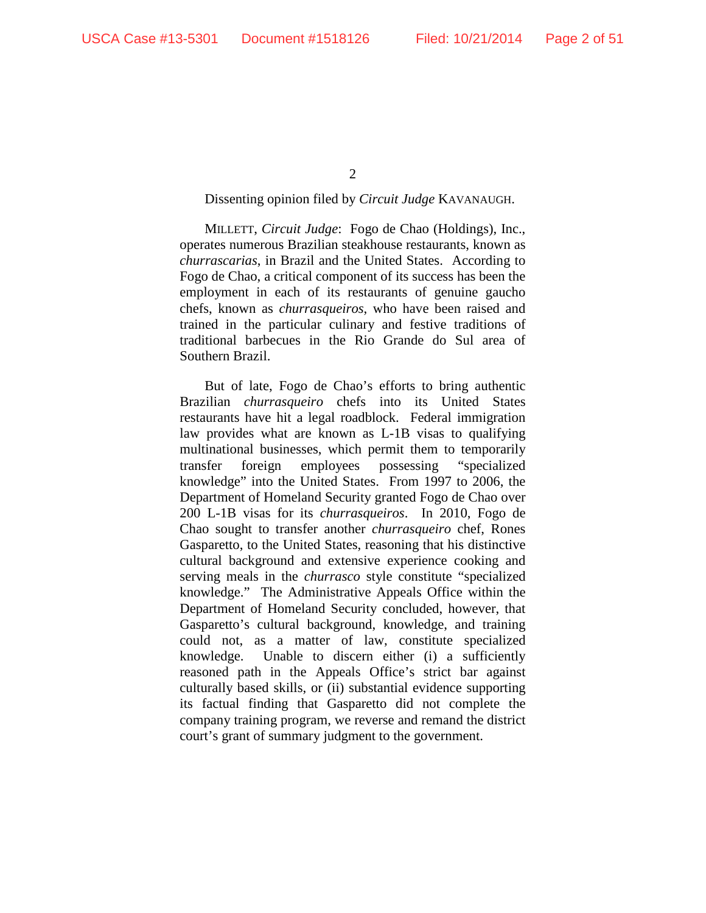$\mathcal{L}$ 

## Dissenting opinion filed by *Circuit Judge* KAVANAUGH.

MILLETT, *Circuit Judge*: Fogo de Chao (Holdings), Inc., operates numerous Brazilian steakhouse restaurants, known as *churrascarias*, in Brazil and the United States. According to Fogo de Chao, a critical component of its success has been the employment in each of its restaurants of genuine gaucho chefs, known as *churrasqueiros*, who have been raised and trained in the particular culinary and festive traditions of traditional barbecues in the Rio Grande do Sul area of Southern Brazil.

But of late, Fogo de Chao's efforts to bring authentic Brazilian *churrasqueiro* chefs into its United States restaurants have hit a legal roadblock. Federal immigration law provides what are known as L-1B visas to qualifying multinational businesses, which permit them to temporarily transfer foreign employees possessing "specialized knowledge" into the United States. From 1997 to 2006, the Department of Homeland Security granted Fogo de Chao over 200 L-1B visas for its *churrasqueiros*. In 2010, Fogo de Chao sought to transfer another *churrasqueiro* chef, Rones Gasparetto, to the United States, reasoning that his distinctive cultural background and extensive experience cooking and serving meals in the *churrasco* style constitute "specialized knowledge." The Administrative Appeals Office within the Department of Homeland Security concluded, however, that Gasparetto's cultural background, knowledge, and training could not, as a matter of law, constitute specialized knowledge. Unable to discern either (i) a sufficiently reasoned path in the Appeals Office's strict bar against culturally based skills, or (ii) substantial evidence supporting its factual finding that Gasparetto did not complete the company training program, we reverse and remand the district court's grant of summary judgment to the government.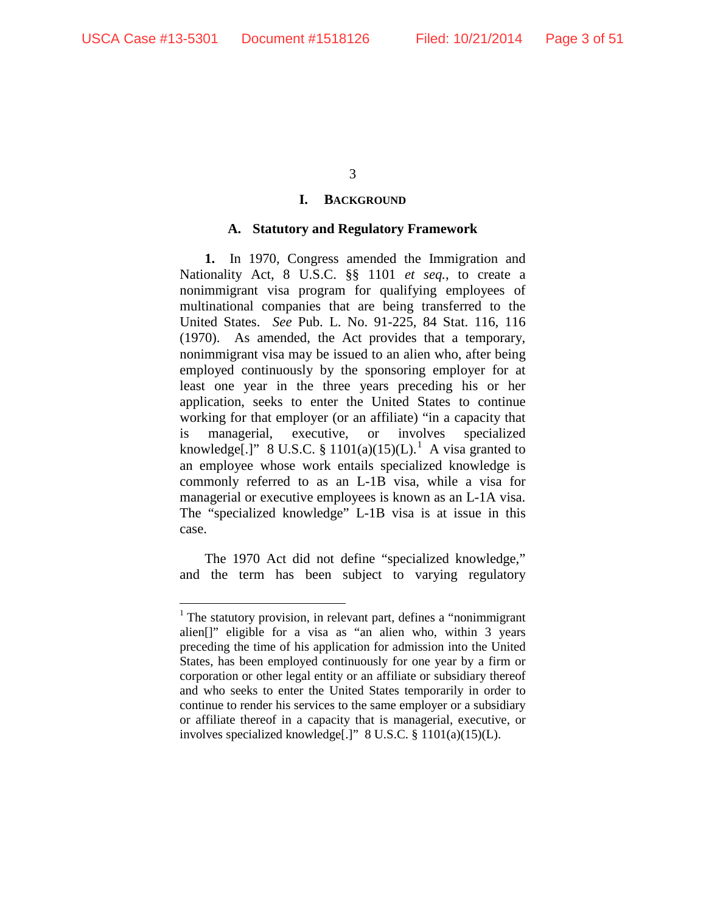## **I. BACKGROUND**

## **A. Statutory and Regulatory Framework**

**1.** In 1970, Congress amended the Immigration and Nationality Act, 8 U.S.C. §§ 1101 *et seq.*, to create a nonimmigrant visa program for qualifying employees of multinational companies that are being transferred to the United States. *See* Pub. L. No. 91-225, 84 Stat. 116, 116 (1970). As amended, the Act provides that a temporary, nonimmigrant visa may be issued to an alien who, after being employed continuously by the sponsoring employer for at least one year in the three years preceding his or her application, seeks to enter the United States to continue working for that employer (or an affiliate) "in a capacity that is managerial, executive, or involves specialized knowledge[.]" 8 U.S.C. § 1101(a)(15)(L).<sup>1</sup> A visa granted to an employee whose work entails specialized knowledge is commonly referred to as an L-1B visa, while a visa for managerial or executive employees is known as an L-1A visa. The "specialized knowledge" L-1B visa is at issue in this case.

The 1970 Act did not define "specialized knowledge," and the term has been subject to varying regulatory

 $<sup>1</sup>$  The statutory provision, in relevant part, defines a "nonimmigrant"</sup> alien[]" eligible for a visa as "an alien who, within 3 years preceding the time of his application for admission into the United States, has been employed continuously for one year by a firm or corporation or other legal entity or an affiliate or subsidiary thereof and who seeks to enter the United States temporarily in order to continue to render his services to the same employer or a subsidiary or affiliate thereof in a capacity that is managerial, executive, or involves specialized knowledge[.]" 8 U.S.C. § 1101(a)(15)(L).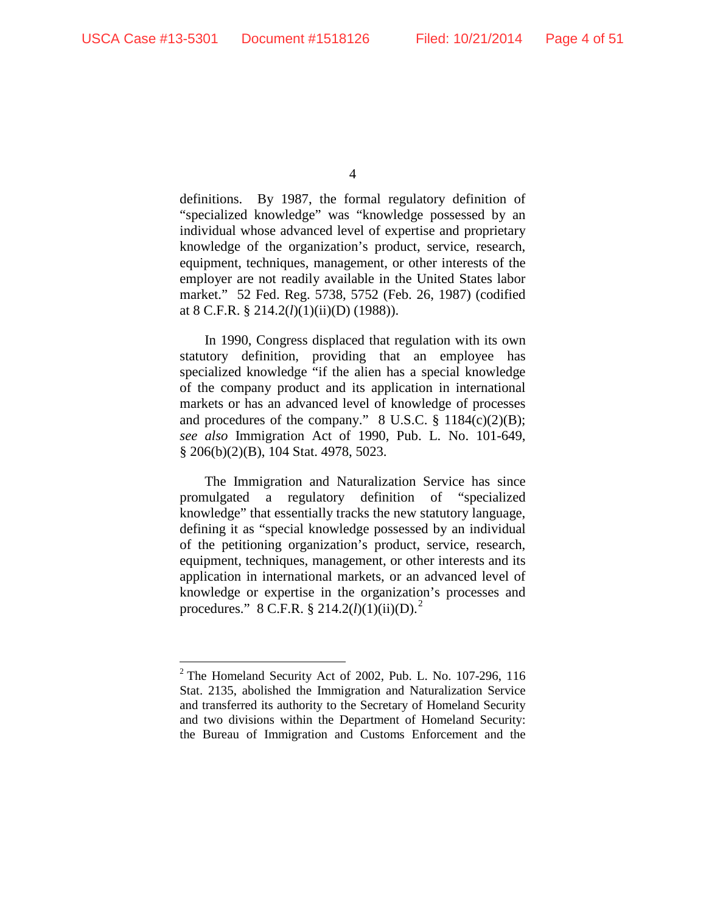definitions. By 1987, the formal regulatory definition of "specialized knowledge" was "knowledge possessed by an individual whose advanced level of expertise and proprietary knowledge of the organization's product, service, research, equipment, techniques, management, or other interests of the employer are not readily available in the United States labor market." 52 Fed. Reg. 5738, 5752 (Feb. 26, 1987) (codified at 8 C.F.R. § 214.2(*l*)(1)(ii)(D) (1988)).

In 1990, Congress displaced that regulation with its own statutory definition, providing that an employee has specialized knowledge "if the alien has a special knowledge of the company product and its application in international markets or has an advanced level of knowledge of processes and procedures of the company."  $8 \text{ U.S.C. } §$  1184(c)(2)(B); *see also* Immigration Act of 1990, Pub. L. No. 101-649, § 206(b)(2)(B), 104 Stat. 4978, 5023.

The Immigration and Naturalization Service has since promulgated a regulatory definition of "specialized knowledge" that essentially tracks the new statutory language, defining it as "special knowledge possessed by an individual of the petitioning organization's product, service, research, equipment, techniques, management, or other interests and its application in international markets, or an advanced level of knowledge or expertise in the organization's processes and procedures." 8 C.F.R. § 214.2(*l*)(1)(ii)(D).<sup>2</sup>

<sup>4</sup>

 $2$  The Homeland Security Act of 2002, Pub. L. No. 107-296, 116 Stat. 2135, abolished the Immigration and Naturalization Service and transferred its authority to the Secretary of Homeland Security and two divisions within the Department of Homeland Security: the Bureau of Immigration and Customs Enforcement and the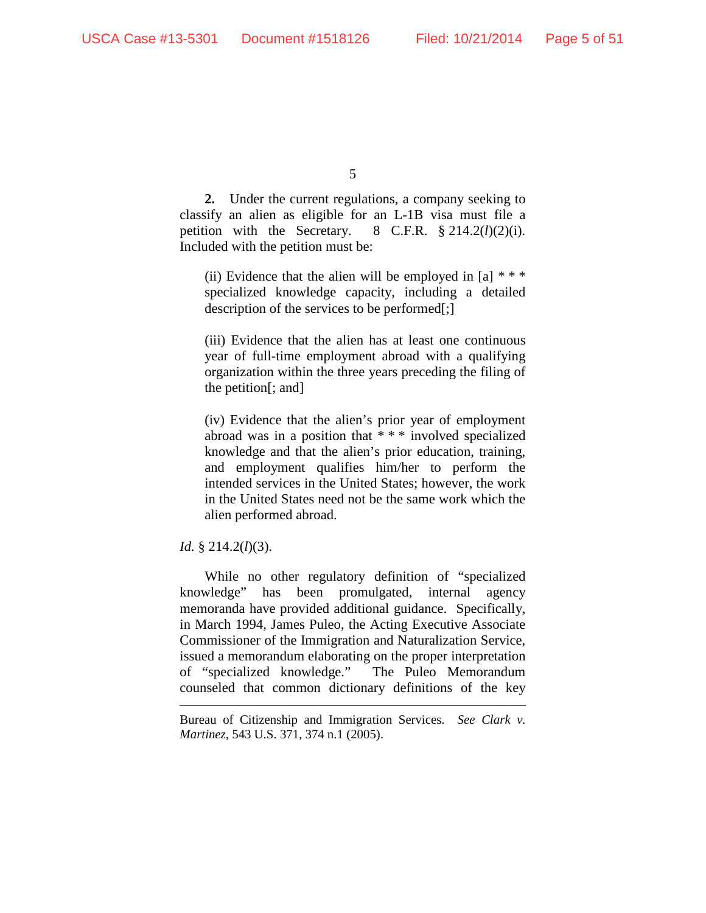**2.** Under the current regulations, a company seeking to classify an alien as eligible for an L-1B visa must file a petition with the Secretary.  $8$  C.F.R.  $§ 214.2(l)(2)(i)$ . Included with the petition must be:

(ii) Evidence that the alien will be employed in  $[a]$  \* \* \* specialized knowledge capacity, including a detailed description of the services to be performed[;]

(iii) Evidence that the alien has at least one continuous year of full-time employment abroad with a qualifying organization within the three years preceding the filing of the petition[; and]

(iv) Evidence that the alien's prior year of employment abroad was in a position that \* \* \* involved specialized knowledge and that the alien's prior education, training, and employment qualifies him/her to perform the intended services in the United States; however, the work in the United States need not be the same work which the alien performed abroad.

## *Id.* § 214.2(*l*)(3).

 $\overline{a}$ 

While no other regulatory definition of "specialized knowledge" has been promulgated, internal agency memoranda have provided additional guidance. Specifically, in March 1994, James Puleo, the Acting Executive Associate Commissioner of the Immigration and Naturalization Service, issued a memorandum elaborating on the proper interpretation of "specialized knowledge." The Puleo Memorandum counseled that common dictionary definitions of the key

Bureau of Citizenship and Immigration Services. *See Clark v. Martinez*, 543 U.S. 371, 374 n.1 (2005).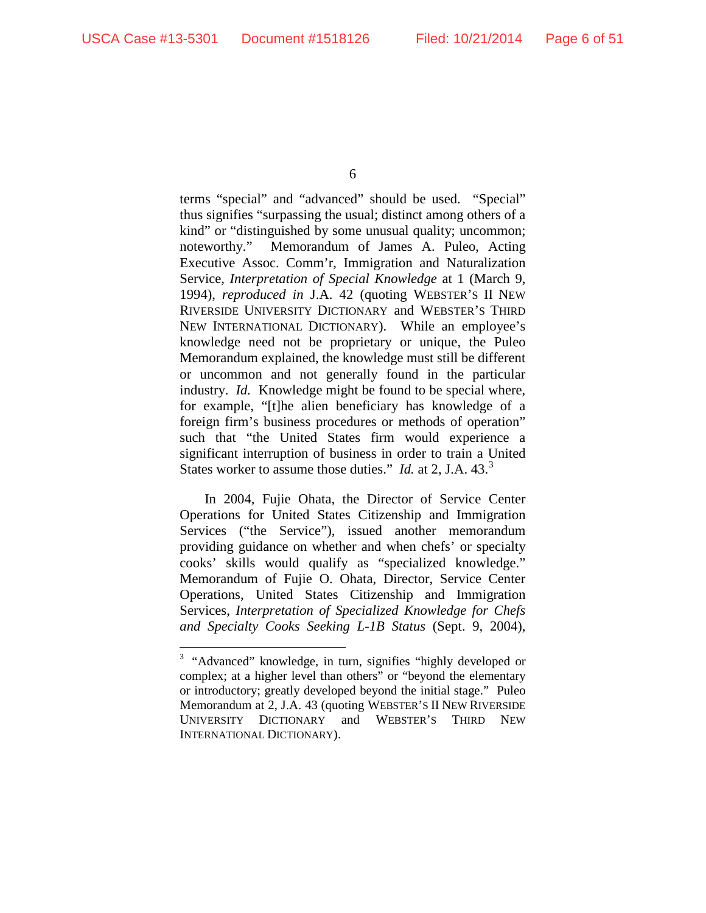terms "special" and "advanced" should be used. "Special" thus signifies "surpassing the usual; distinct among others of a kind" or "distinguished by some unusual quality; uncommon; noteworthy." Memorandum of James A. Puleo, Acting Executive Assoc. Comm'r, Immigration and Naturalization Service, *Interpretation of Special Knowledge* at 1 (March 9, 1994), *reproduced in* J.A. 42 (quoting WEBSTER'S II NEW RIVERSIDE UNIVERSITY DICTIONARY and WEBSTER'S THIRD NEW INTERNATIONAL DICTIONARY). While an employee's knowledge need not be proprietary or unique, the Puleo Memorandum explained, the knowledge must still be different or uncommon and not generally found in the particular industry. *Id.* Knowledge might be found to be special where, for example, "[t]he alien beneficiary has knowledge of a foreign firm's business procedures or methods of operation" such that "the United States firm would experience a significant interruption of business in order to train a United States worker to assume those duties." *Id.* at 2, J.A. 43.<sup>3</sup>

In 2004, Fujie Ohata, the Director of Service Center Operations for United States Citizenship and Immigration Services ("the Service"), issued another memorandum providing guidance on whether and when chefs' or specialty cooks' skills would qualify as "specialized knowledge." Memorandum of Fujie O. Ohata, Director, Service Center Operations, United States Citizenship and Immigration Services, *Interpretation of Specialized Knowledge for Chefs and Specialty Cooks Seeking L-1B Status* (Sept. 9, 2004),

<sup>&</sup>lt;sup>2</sup><br>3 <sup>3</sup> "Advanced" knowledge, in turn, signifies "highly developed or complex; at a higher level than others" or "beyond the elementary or introductory; greatly developed beyond the initial stage." Puleo Memorandum at 2, J.A. 43 (quoting WEBSTER'S II NEW RIVERSIDE UNIVERSITY DICTIONARY and WEBSTER'S THIRD NEW INTERNATIONAL DICTIONARY).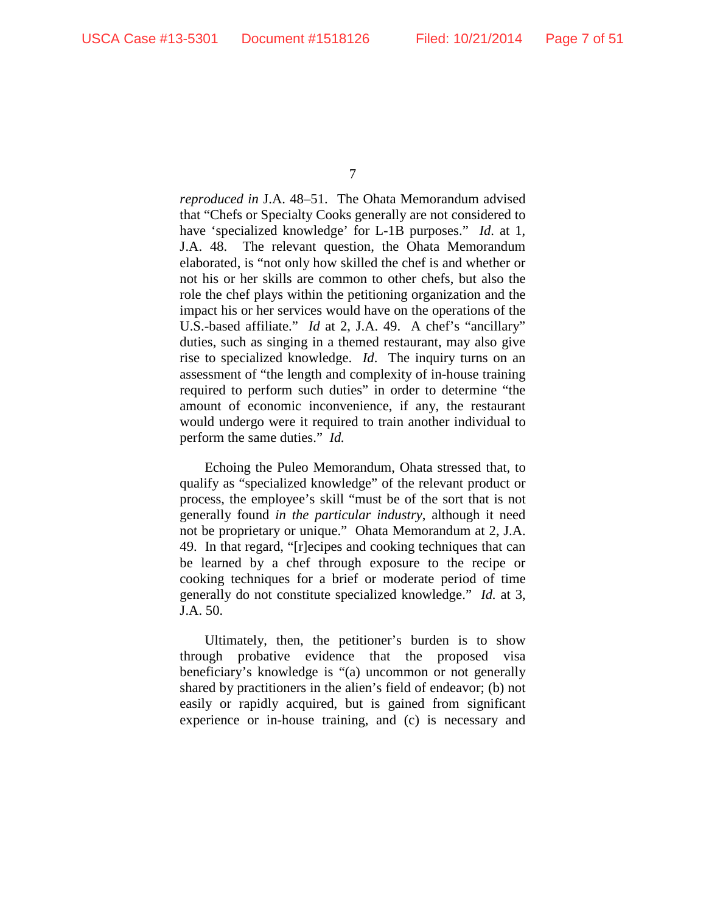*reproduced in* J.A. 48–51. The Ohata Memorandum advised that "Chefs or Specialty Cooks generally are not considered to have 'specialized knowledge' for L-1B purposes." *Id*. at 1, J.A. 48. The relevant question, the Ohata Memorandum elaborated, is "not only how skilled the chef is and whether or not his or her skills are common to other chefs, but also the role the chef plays within the petitioning organization and the impact his or her services would have on the operations of the U.S.-based affiliate." *Id* at 2, J.A. 49. A chef's "ancillary" duties, such as singing in a themed restaurant, may also give rise to specialized knowledge. *Id*. The inquiry turns on an assessment of "the length and complexity of in-house training required to perform such duties" in order to determine "the amount of economic inconvenience, if any, the restaurant would undergo were it required to train another individual to perform the same duties." *Id.* 

Echoing the Puleo Memorandum, Ohata stressed that, to qualify as "specialized knowledge" of the relevant product or process, the employee's skill "must be of the sort that is not generally found *in the particular industry*, although it need not be proprietary or unique." Ohata Memorandum at 2, J.A. 49. In that regard, "[r]ecipes and cooking techniques that can be learned by a chef through exposure to the recipe or cooking techniques for a brief or moderate period of time generally do not constitute specialized knowledge." *Id.* at 3, J.A. 50.

Ultimately, then, the petitioner's burden is to show through probative evidence that the proposed visa beneficiary's knowledge is "(a) uncommon or not generally shared by practitioners in the alien's field of endeavor; (b) not easily or rapidly acquired, but is gained from significant experience or in-house training, and (c) is necessary and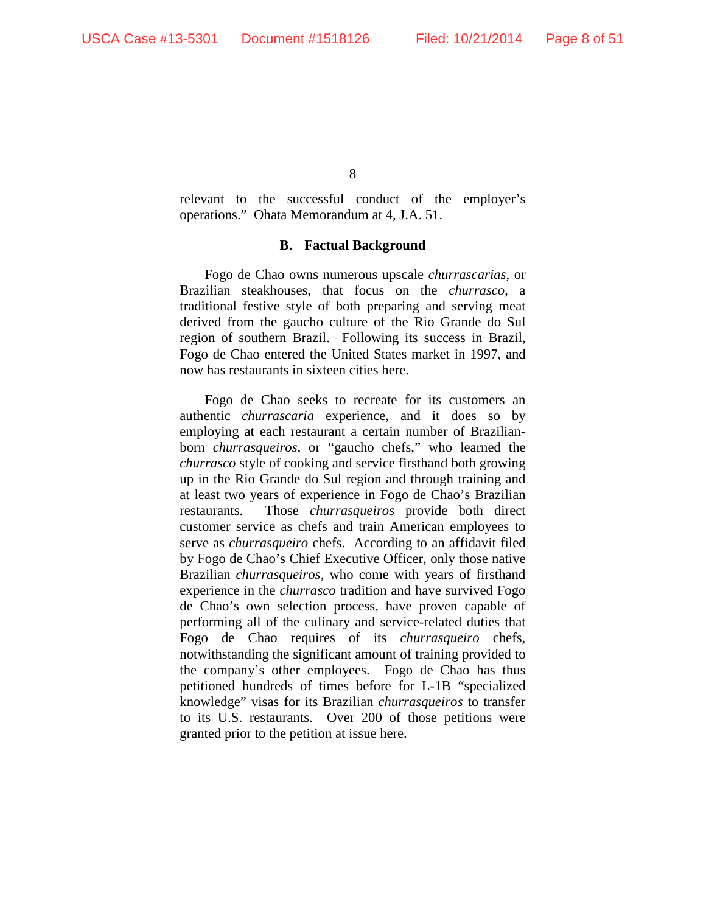relevant to the successful conduct of the employer's operations." Ohata Memorandum at 4, J.A. 51.

## **B. Factual Background**

Fogo de Chao owns numerous upscale *churrascarias*, or Brazilian steakhouses, that focus on the *churrasco*, a traditional festive style of both preparing and serving meat derived from the gaucho culture of the Rio Grande do Sul region of southern Brazil. Following its success in Brazil, Fogo de Chao entered the United States market in 1997, and now has restaurants in sixteen cities here.

Fogo de Chao seeks to recreate for its customers an authentic *churrascaria* experience, and it does so by employing at each restaurant a certain number of Brazilianborn *churrasqueiros*, or "gaucho chefs," who learned the *churrasco* style of cooking and service firsthand both growing up in the Rio Grande do Sul region and through training and at least two years of experience in Fogo de Chao's Brazilian restaurants. Those *churrasqueiros* provide both direct customer service as chefs and train American employees to serve as *churrasqueiro* chefs. According to an affidavit filed by Fogo de Chao's Chief Executive Officer, only those native Brazilian *churrasqueiros*, who come with years of firsthand experience in the *churrasco* tradition and have survived Fogo de Chao's own selection process, have proven capable of performing all of the culinary and service-related duties that Fogo de Chao requires of its *churrasqueiro* chefs, notwithstanding the significant amount of training provided to the company's other employees. Fogo de Chao has thus petitioned hundreds of times before for L-1B "specialized knowledge" visas for its Brazilian *churrasqueiros* to transfer to its U.S. restaurants. Over 200 of those petitions were granted prior to the petition at issue here.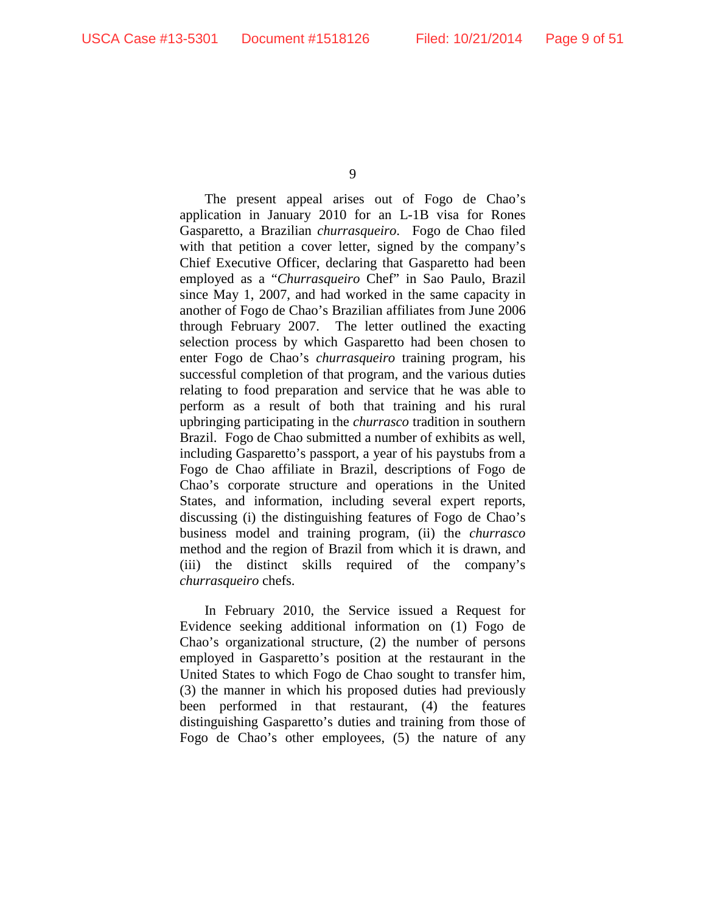The present appeal arises out of Fogo de Chao's application in January 2010 for an L-1B visa for Rones Gasparetto, a Brazilian *churrasqueiro*.Fogo de Chao filed with that petition a cover letter, signed by the company's Chief Executive Officer, declaring that Gasparetto had been employed as a "*Churrasqueiro* Chef" in Sao Paulo, Brazil since May 1, 2007, and had worked in the same capacity in another of Fogo de Chao's Brazilian affiliates from June 2006 through February 2007. The letter outlined the exacting selection process by which Gasparetto had been chosen to enter Fogo de Chao's *churrasqueiro* training program, his successful completion of that program, and the various duties relating to food preparation and service that he was able to perform as a result of both that training and his rural upbringing participating in the *churrasco* tradition in southern Brazil.Fogo de Chao submitted a number of exhibits as well, including Gasparetto's passport, a year of his paystubs from a Fogo de Chao affiliate in Brazil, descriptions of Fogo de Chao's corporate structure and operations in the United States, and information, including several expert reports, discussing (i) the distinguishing features of Fogo de Chao's business model and training program, (ii) the *churrasco* method and the region of Brazil from which it is drawn, and (iii) the distinct skills required of the company's *churrasqueiro* chefs.

In February 2010, the Service issued a Request for Evidence seeking additional information on (1) Fogo de Chao's organizational structure, (2) the number of persons employed in Gasparetto's position at the restaurant in the United States to which Fogo de Chao sought to transfer him, (3) the manner in which his proposed duties had previously been performed in that restaurant, (4) the features distinguishing Gasparetto's duties and training from those of Fogo de Chao's other employees, (5) the nature of any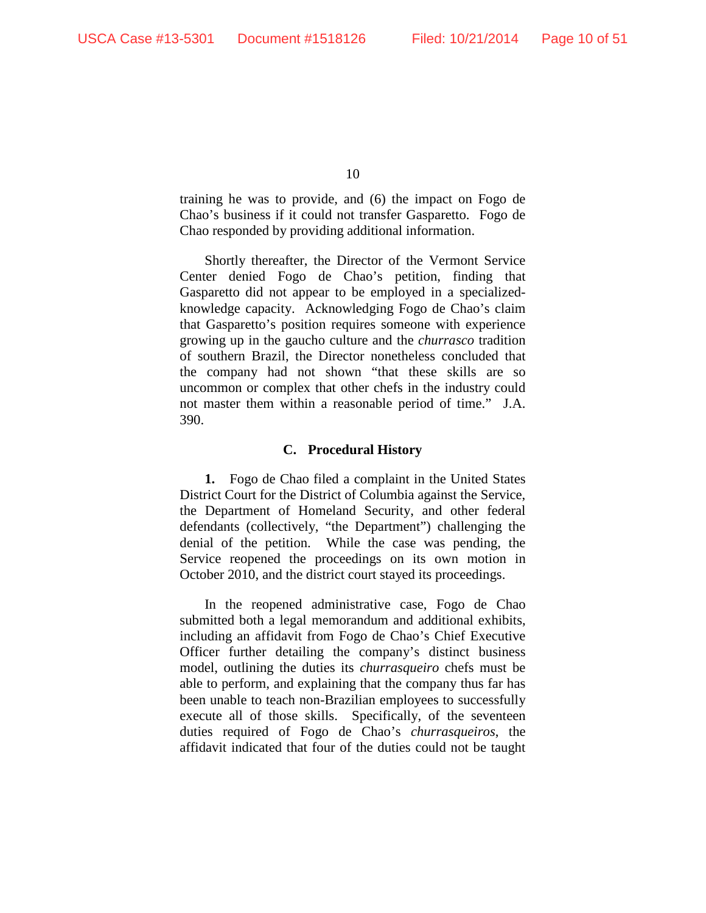training he was to provide, and (6) the impact on Fogo de Chao's business if it could not transfer Gasparetto. Fogo de Chao responded by providing additional information.

Shortly thereafter, the Director of the Vermont Service Center denied Fogo de Chao's petition, finding that Gasparetto did not appear to be employed in a specializedknowledge capacity. Acknowledging Fogo de Chao's claim that Gasparetto's position requires someone with experience growing up in the gaucho culture and the *churrasco* tradition of southern Brazil, the Director nonetheless concluded that the company had not shown "that these skills are so uncommon or complex that other chefs in the industry could not master them within a reasonable period of time." J.A. 390.

#### **C. Procedural History**

**1.** Fogo de Chao filed a complaint in the United States District Court for the District of Columbia against the Service, the Department of Homeland Security, and other federal defendants (collectively, "the Department") challenging the denial of the petition. While the case was pending, the Service reopened the proceedings on its own motion in October 2010, and the district court stayed its proceedings.

In the reopened administrative case, Fogo de Chao submitted both a legal memorandum and additional exhibits, including an affidavit from Fogo de Chao's Chief Executive Officer further detailing the company's distinct business model, outlining the duties its *churrasqueiro* chefs must be able to perform, and explaining that the company thus far has been unable to teach non-Brazilian employees to successfully execute all of those skills. Specifically, of the seventeen duties required of Fogo de Chao's *churrasqueiros*, the affidavit indicated that four of the duties could not be taught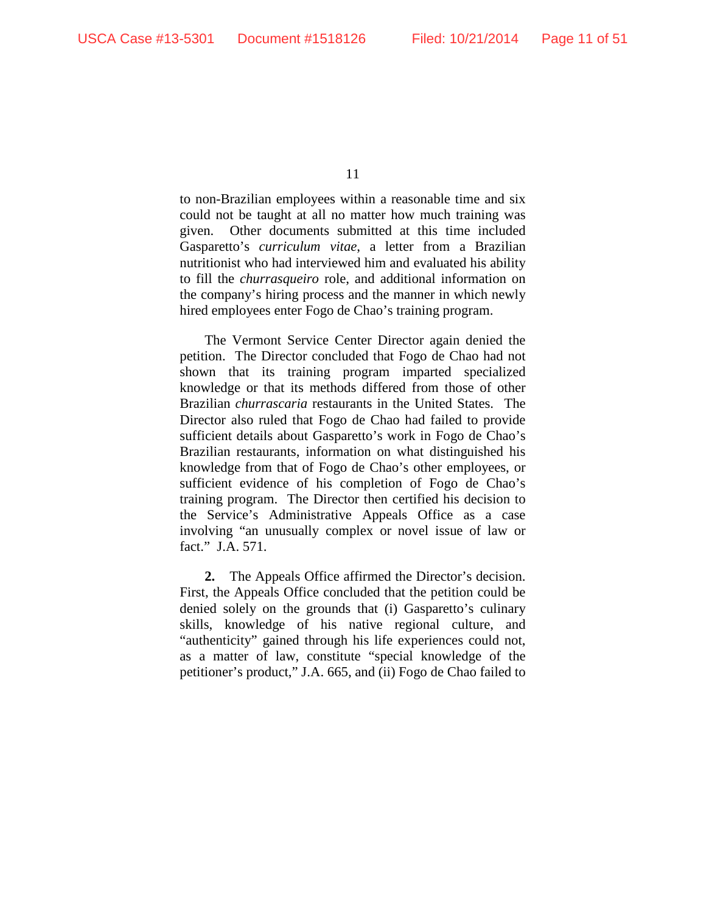to non-Brazilian employees within a reasonable time and six could not be taught at all no matter how much training was given. Other documents submitted at this time included Gasparetto's *curriculum vitae*, a letter from a Brazilian nutritionist who had interviewed him and evaluated his ability to fill the *churrasqueiro* role, and additional information on the company's hiring process and the manner in which newly hired employees enter Fogo de Chao's training program.

The Vermont Service Center Director again denied the petition. The Director concluded that Fogo de Chao had not shown that its training program imparted specialized knowledge or that its methods differed from those of other Brazilian *churrascaria* restaurants in the United States.The Director also ruled that Fogo de Chao had failed to provide sufficient details about Gasparetto's work in Fogo de Chao's Brazilian restaurants, information on what distinguished his knowledge from that of Fogo de Chao's other employees, or sufficient evidence of his completion of Fogo de Chao's training program. The Director then certified his decision to the Service's Administrative Appeals Office as a case involving "an unusually complex or novel issue of law or fact." J.A. 571.

**2.** The Appeals Office affirmed the Director's decision. First, the Appeals Office concluded that the petition could be denied solely on the grounds that (i) Gasparetto's culinary skills, knowledge of his native regional culture, and "authenticity" gained through his life experiences could not, as a matter of law, constitute "special knowledge of the petitioner's product," J.A. 665, and (ii) Fogo de Chao failed to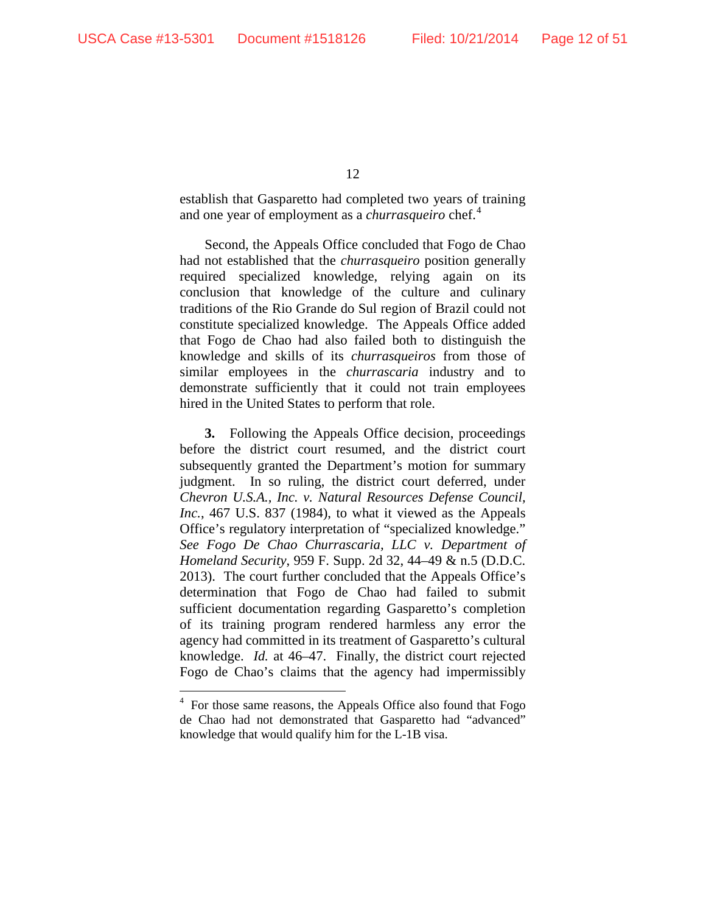establish that Gasparetto had completed two years of training and one year of employment as a *churrasqueiro* chef.<sup>4</sup>

Second, the Appeals Office concluded that Fogo de Chao had not established that the *churrasqueiro* position generally required specialized knowledge, relying again on its conclusion that knowledge of the culture and culinary traditions of the Rio Grande do Sul region of Brazil could not constitute specialized knowledge. The Appeals Office added that Fogo de Chao had also failed both to distinguish the knowledge and skills of its *churrasqueiros* from those of similar employees in the *churrascaria* industry and to demonstrate sufficiently that it could not train employees hired in the United States to perform that role.

**3.** Following the Appeals Office decision, proceedings before the district court resumed, and the district court subsequently granted the Department's motion for summary judgment. In so ruling, the district court deferred, under *Chevron U.S.A., Inc. v. Natural Resources Defense Council, Inc.*, 467 U.S. 837 (1984), to what it viewed as the Appeals Office's regulatory interpretation of "specialized knowledge." *See Fogo De Chao Churrascaria, LLC v. Department of Homeland Security*, 959 F. Supp. 2d 32, 44–49 & n.5 (D.D.C. 2013). The court further concluded that the Appeals Office's determination that Fogo de Chao had failed to submit sufficient documentation regarding Gasparetto's completion of its training program rendered harmless any error the agency had committed in its treatment of Gasparetto's cultural knowledge. *Id.* at 46–47. Finally, the district court rejected Fogo de Chao's claims that the agency had impermissibly

 $\frac{1}{4}$  $4\,$  For those same reasons, the Appeals Office also found that Fogo de Chao had not demonstrated that Gasparetto had "advanced" knowledge that would qualify him for the L-1B visa.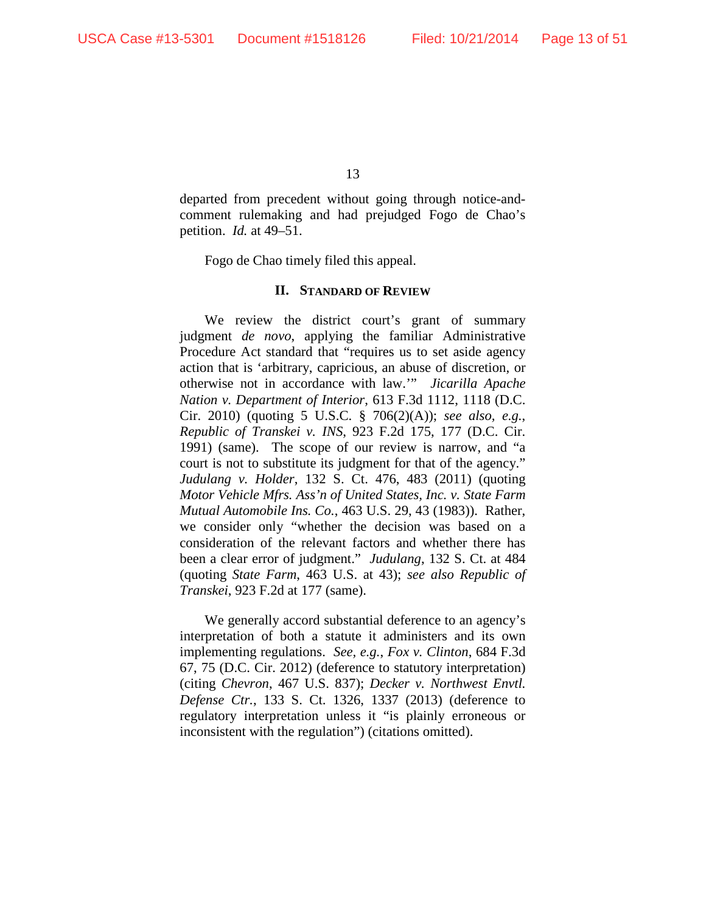departed from precedent without going through notice-andcomment rulemaking and had prejudged Fogo de Chao's petition. *Id.* at 49–51.

Fogo de Chao timely filed this appeal.

#### **II. STANDARD OF REVIEW**

We review the district court's grant of summary judgment *de novo*, applying the familiar Administrative Procedure Act standard that "requires us to set aside agency action that is 'arbitrary, capricious, an abuse of discretion, or otherwise not in accordance with law.'" *Jicarilla Apache Nation v. Department of Interior*, 613 F.3d 1112, 1118 (D.C. Cir. 2010) (quoting 5 U.S.C. § 706(2)(A)); *see also, e.g.*, *Republic of Transkei v. INS*, 923 F.2d 175, 177 (D.C. Cir. 1991) (same). The scope of our review is narrow, and "a court is not to substitute its judgment for that of the agency." *Judulang v. Holder*, 132 S. Ct. 476, 483 (2011) (quoting *Motor Vehicle Mfrs. Ass'n of United States, Inc. v. State Farm Mutual Automobile Ins. Co.*, 463 U.S. 29, 43 (1983)). Rather, we consider only "whether the decision was based on a consideration of the relevant factors and whether there has been a clear error of judgment." *Judulang*, 132 S. Ct. at 484 (quoting *State Farm*, 463 U.S. at 43); *see also Republic of Transkei*, 923 F.2d at 177 (same).

We generally accord substantial deference to an agency's interpretation of both a statute it administers and its own implementing regulations. *See, e.g.*, *Fox v. Clinton*, 684 F.3d 67, 75 (D.C. Cir. 2012) (deference to statutory interpretation) (citing *Chevron*, 467 U.S. 837); *Decker v. Northwest Envtl. Defense Ctr.*, 133 S. Ct. 1326, 1337 (2013) (deference to regulatory interpretation unless it "is plainly erroneous or inconsistent with the regulation") (citations omitted).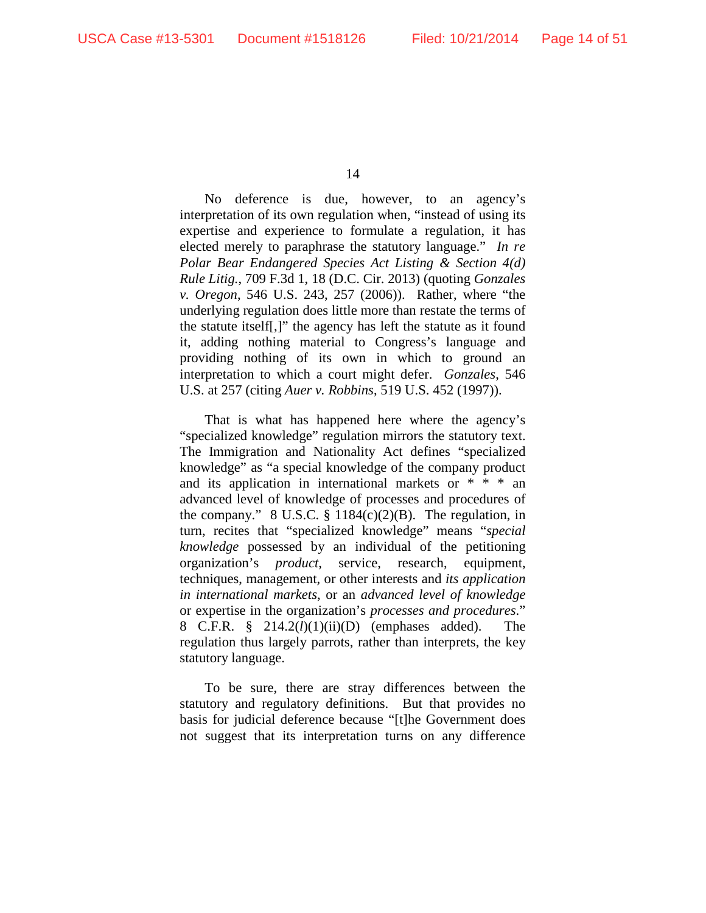No deference is due, however, to an agency's interpretation of its own regulation when, "instead of using its expertise and experience to formulate a regulation, it has elected merely to paraphrase the statutory language." *In re Polar Bear Endangered Species Act Listing & Section 4(d) Rule Litig.*, 709 F.3d 1, 18 (D.C. Cir. 2013) (quoting *Gonzales v. Oregon*, 546 U.S. 243, 257 (2006)). Rather, where "the underlying regulation does little more than restate the terms of the statute itself[,]" the agency has left the statute as it found it, adding nothing material to Congress's language and providing nothing of its own in which to ground an interpretation to which a court might defer. *Gonzales*, 546 U.S. at 257 (citing *Auer v. Robbins*, 519 U.S. 452 (1997)).

That is what has happened here where the agency's "specialized knowledge" regulation mirrors the statutory text. The Immigration and Nationality Act defines "specialized knowledge" as "a special knowledge of the company product and its application in international markets or \* \* \* an advanced level of knowledge of processes and procedures of the company."  $8 \text{ U.S.C. } §$  1184(c)(2)(B). The regulation, in turn, recites that "specialized knowledge" means "*special knowledge* possessed by an individual of the petitioning organization's *product*, service, research, equipment, techniques, management, or other interests and *its application in international markets*, or an *advanced level of knowledge* or expertise in the organization's *processes and procedures*." 8 C.F.R. § 214.2(*l*)(1)(ii)(D) (emphases added). The regulation thus largely parrots, rather than interprets, the key statutory language.

To be sure, there are stray differences between the statutory and regulatory definitions. But that provides no basis for judicial deference because "[t]he Government does not suggest that its interpretation turns on any difference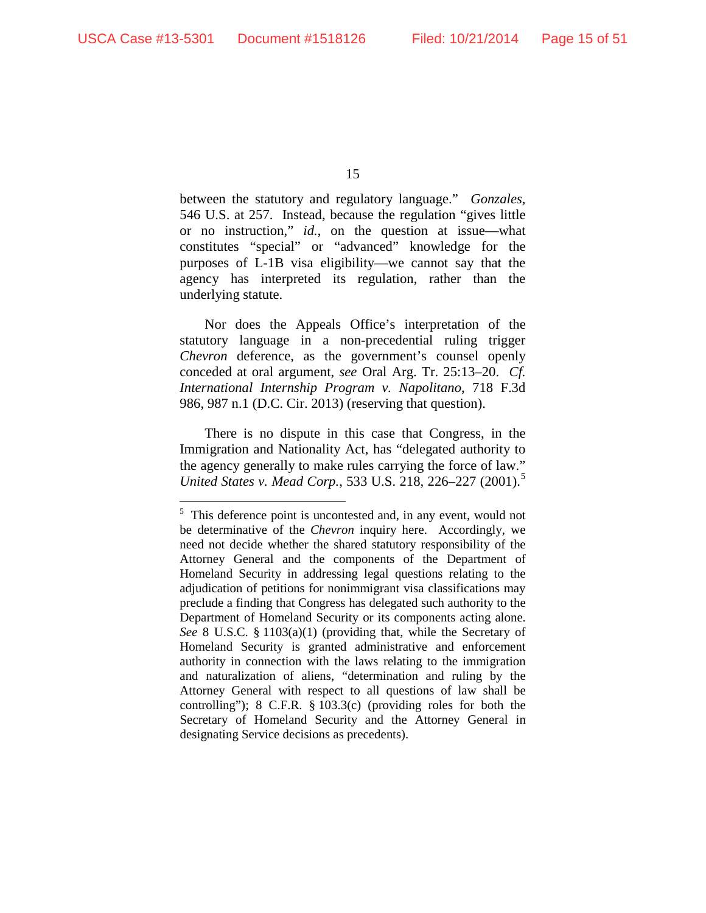between the statutory and regulatory language." *Gonzales*, 546 U.S. at 257. Instead, because the regulation "gives little or no instruction," *id.*, on the question at issue—what constitutes "special" or "advanced" knowledge for the purposes of L-1B visa eligibility—we cannot say that the agency has interpreted its regulation, rather than the underlying statute.

Nor does the Appeals Office's interpretation of the statutory language in a non-precedential ruling trigger *Chevron* deference, as the government's counsel openly conceded at oral argument, *see* Oral Arg. Tr. 25:13–20. *Cf. International Internship Program v. Napolitano*, 718 F.3d 986, 987 n.1 (D.C. Cir. 2013) (reserving that question).

There is no dispute in this case that Congress, in the Immigration and Nationality Act, has "delegated authority to the agency generally to make rules carrying the force of law." *United States v. Mead Corp.*, 533 U.S. 218, 226–227 (2001). 5

 <sup>5</sup>  $5$ . This deference point is uncontested and, in any event, would not be determinative of the *Chevron* inquiry here. Accordingly, we need not decide whether the shared statutory responsibility of the Attorney General and the components of the Department of Homeland Security in addressing legal questions relating to the adjudication of petitions for nonimmigrant visa classifications may preclude a finding that Congress has delegated such authority to the Department of Homeland Security or its components acting alone. *See* 8 U.S.C. § 1103(a)(1) (providing that, while the Secretary of Homeland Security is granted administrative and enforcement authority in connection with the laws relating to the immigration and naturalization of aliens, "determination and ruling by the Attorney General with respect to all questions of law shall be controlling"); 8 C.F.R. § 103.3(c) (providing roles for both the Secretary of Homeland Security and the Attorney General in designating Service decisions as precedents).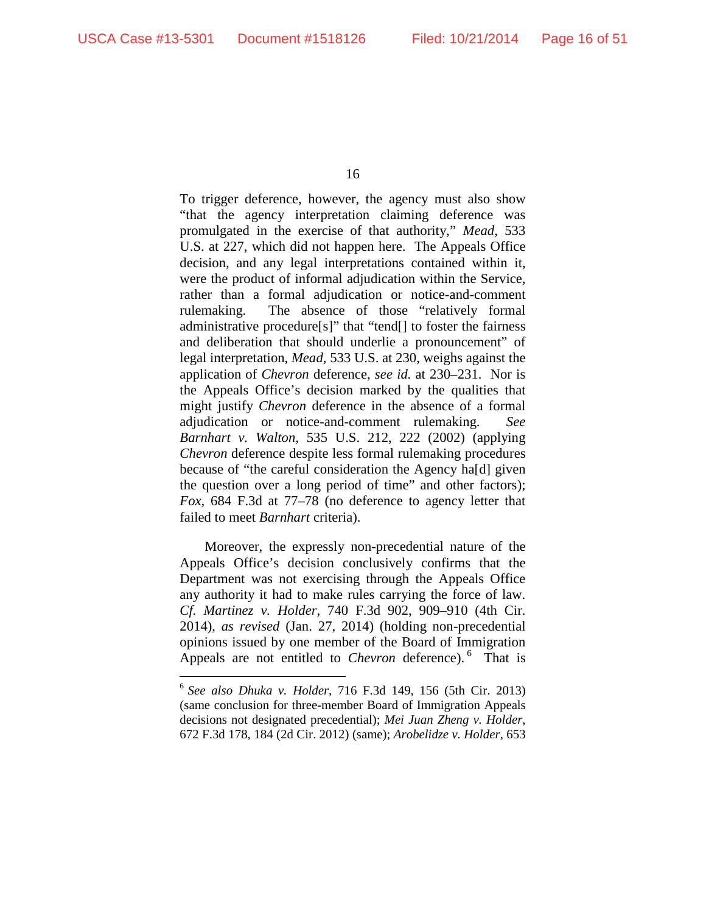To trigger deference, however, the agency must also show "that the agency interpretation claiming deference was promulgated in the exercise of that authority," *Mead*, 533 U.S. at 227, which did not happen here. The Appeals Office decision, and any legal interpretations contained within it, were the product of informal adjudication within the Service, rather than a formal adjudication or notice-and-comment rulemaking. The absence of those "relatively formal administrative procedure[s]" that "tend[] to foster the fairness and deliberation that should underlie a pronouncement" of legal interpretation, *Mead*, 533 U.S. at 230, weighs against the application of *Chevron* deference, *see id.* at 230–231. Nor is the Appeals Office's decision marked by the qualities that might justify *Chevron* deference in the absence of a formal adjudication or notice-and-comment rulemaking. *See Barnhart v. Walton*, 535 U.S. 212, 222 (2002) (applying *Chevron* deference despite less formal rulemaking procedures because of "the careful consideration the Agency ha[d] given the question over a long period of time" and other factors); *Fox*, 684 F.3d at 77–78 (no deference to agency letter that failed to meet *Barnhart* criteria).

Moreover, the expressly non-precedential nature of the Appeals Office's decision conclusively confirms that the Department was not exercising through the Appeals Office any authority it had to make rules carrying the force of law. *Cf. Martinez v. Holder*, 740 F.3d 902, 909–910 (4th Cir. 2014), *as revised* (Jan. 27, 2014) (holding non-precedential opinions issued by one member of the Board of Immigration Appeals are not entitled to *Chevron* deference). 6 That is

 <sup>6</sup> *See also Dhuka v. Holder*, <sup>716</sup> F.3d 149, <sup>156</sup> (5th Cir. 2013) (same conclusion for three-member Board of Immigration Appeals decisions not designated precedential); *Mei Juan Zheng v. Holder*, 672 F.3d 178, 184 (2d Cir. 2012) (same); *Arobelidze v. Holder*, 653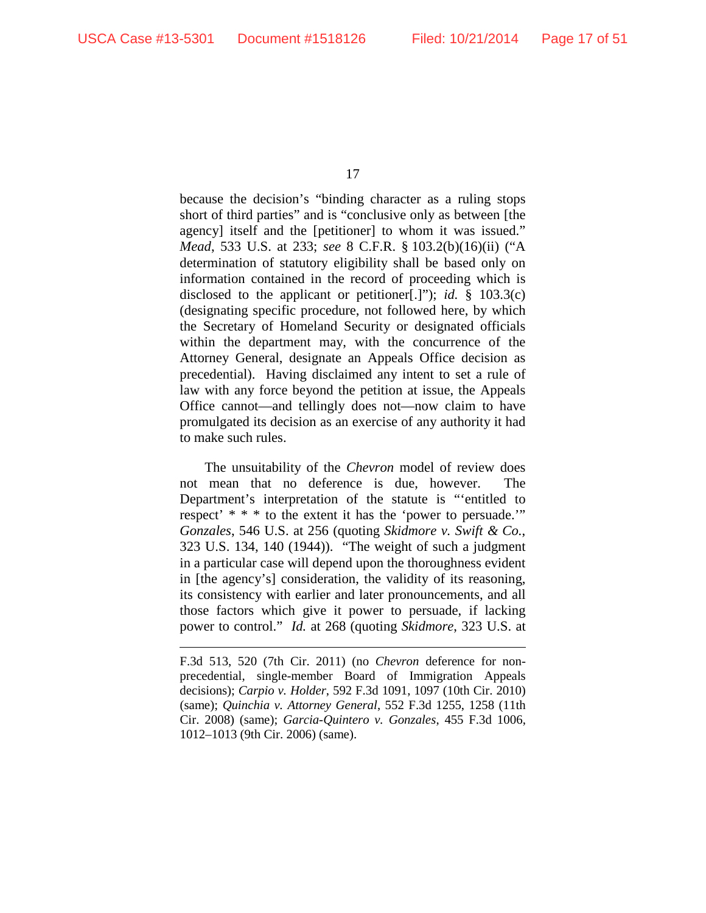$\overline{a}$ 

17

because the decision's "binding character as a ruling stops short of third parties" and is "conclusive only as between [the agency] itself and the [petitioner] to whom it was issued." *Mead*, 533 U.S. at 233; *see* 8 C.F.R. § 103.2(b)(16)(ii) ("A determination of statutory eligibility shall be based only on information contained in the record of proceeding which is disclosed to the applicant or petitioner[.]"); *id.* § 103.3(c) (designating specific procedure, not followed here, by which the Secretary of Homeland Security or designated officials within the department may, with the concurrence of the Attorney General, designate an Appeals Office decision as precedential). Having disclaimed any intent to set a rule of law with any force beyond the petition at issue, the Appeals Office cannot—and tellingly does not—now claim to have promulgated its decision as an exercise of any authority it had to make such rules.

The unsuitability of the *Chevron* model of review does not mean that no deference is due, however. The Department's interpretation of the statute is "'entitled to respect' \* \* \* to the extent it has the 'power to persuade.'" *Gonzales*, 546 U.S. at 256 (quoting *Skidmore v. Swift & Co.*, 323 U.S. 134, 140 (1944)). "The weight of such a judgment in a particular case will depend upon the thoroughness evident in [the agency's] consideration, the validity of its reasoning, its consistency with earlier and later pronouncements, and all those factors which give it power to persuade, if lacking power to control." *Id.* at 268 (quoting *Skidmore*, 323 U.S. at

F.3d 513, 520 (7th Cir. 2011) (no *Chevron* deference for nonprecedential, single-member Board of Immigration Appeals decisions); *Carpio v. Holder*, 592 F.3d 1091, 1097 (10th Cir. 2010) (same); *Quinchia v. Attorney General*, 552 F.3d 1255, 1258 (11th Cir. 2008) (same); *Garcia-Quintero v. Gonzales*, 455 F.3d 1006, 1012–1013 (9th Cir. 2006) (same).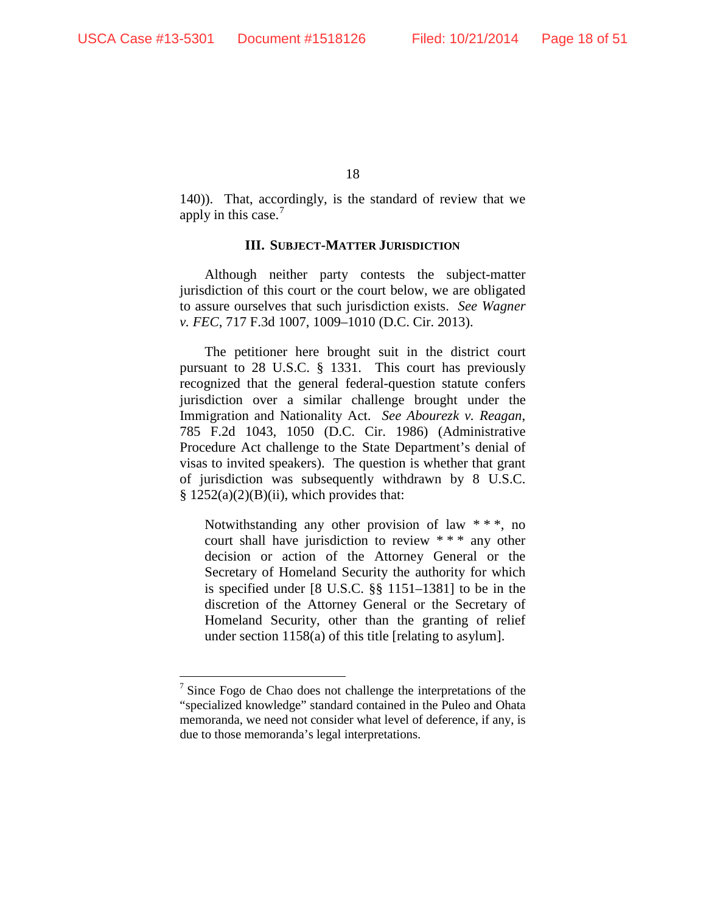140)). That, accordingly, is the standard of review that we apply in this case.<sup>7</sup>

#### **III. SUBJECT-MATTER JURISDICTION**

Although neither party contests the subject-matter jurisdiction of this court or the court below, we are obligated to assure ourselves that such jurisdiction exists. *See Wagner v. FEC*, 717 F.3d 1007, 1009–1010 (D.C. Cir. 2013).

The petitioner here brought suit in the district court pursuant to 28 U.S.C. § 1331. This court has previously recognized that the general federal-question statute confers jurisdiction over a similar challenge brought under the Immigration and Nationality Act. *See Abourezk v. Reagan*, 785 F.2d 1043, 1050 (D.C. Cir. 1986) (Administrative Procedure Act challenge to the State Department's denial of visas to invited speakers). The question is whether that grant of jurisdiction was subsequently withdrawn by 8 U.S.C.  $§ 1252(a)(2)(B)(ii)$ , which provides that:

Notwithstanding any other provision of law  $**$ , no court shall have jurisdiction to review \* \* \* any other decision or action of the Attorney General or the Secretary of Homeland Security the authority for which is specified under [8 U.S.C. §§ 1151–1381] to be in the discretion of the Attorney General or the Secretary of Homeland Security, other than the granting of relief under section 1158(a) of this title [relating to asylum].

 $\frac{7}{1}$  Since Fogo de Chao does not challenge the interpretations of the "specialized knowledge" standard contained in the Puleo and Ohata memoranda, we need not consider what level of deference, if any, is due to those memoranda's legal interpretations.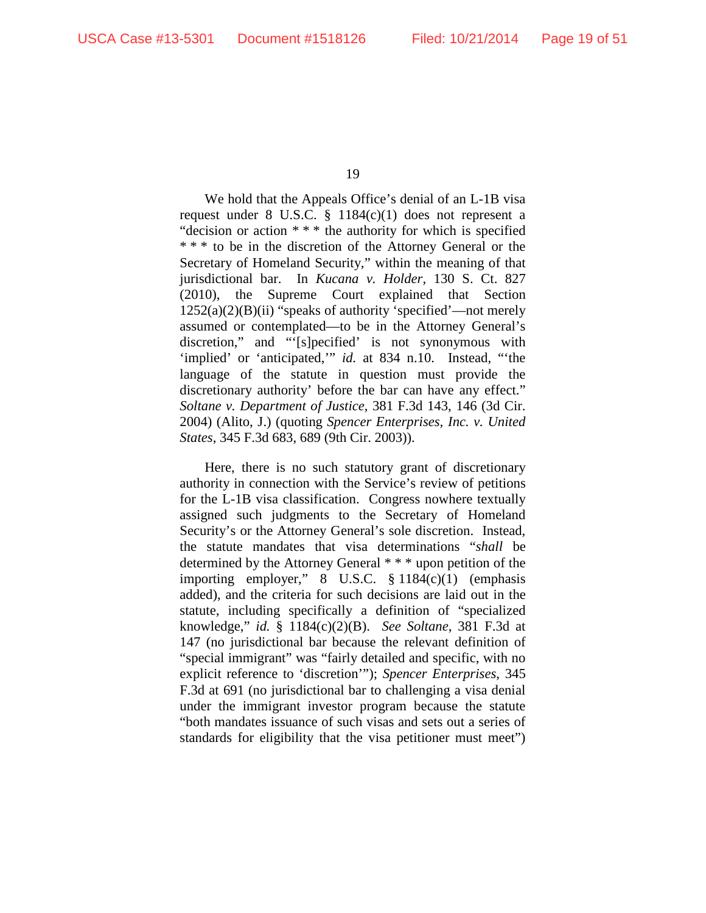We hold that the Appeals Office's denial of an L-1B visa request under 8 U.S.C. § 1184(c)(1) does not represent a "decision or action \* \* \* the authority for which is specified \* \* \* to be in the discretion of the Attorney General or the Secretary of Homeland Security," within the meaning of that jurisdictional bar. In *Kucana v. Holder*, 130 S. Ct. 827 (2010), the Supreme Court explained that Section 1252(a)(2)(B)(ii) "speaks of authority 'specified'—not merely assumed or contemplated—to be in the Attorney General's discretion," and "'[s]pecified' is not synonymous with 'implied' or 'anticipated," *id.* at 834 n.10. Instead, "'the language of the statute in question must provide the discretionary authority' before the bar can have any effect." *Soltane v. Department of Justice*, 381 F.3d 143, 146 (3d Cir. 2004) (Alito, J.) (quoting *Spencer Enterprises, Inc. v. United States*, 345 F.3d 683, 689 (9th Cir. 2003)).

Here, there is no such statutory grant of discretionary authority in connection with the Service's review of petitions for the L-1B visa classification. Congress nowhere textually assigned such judgments to the Secretary of Homeland Security's or the Attorney General's sole discretion. Instead, the statute mandates that visa determinations "*shall* be determined by the Attorney General \* \* \* upon petition of the importing employer," 8 U.S.C. § 1184(c)(1) (emphasis added), and the criteria for such decisions are laid out in the statute, including specifically a definition of "specialized knowledge," *id.* § 1184(c)(2)(B). *See Soltane*, 381 F.3d at 147 (no jurisdictional bar because the relevant definition of "special immigrant" was "fairly detailed and specific, with no explicit reference to 'discretion'"); *Spencer Enterprises*, 345 F.3d at 691 (no jurisdictional bar to challenging a visa denial under the immigrant investor program because the statute "both mandates issuance of such visas and sets out a series of standards for eligibility that the visa petitioner must meet")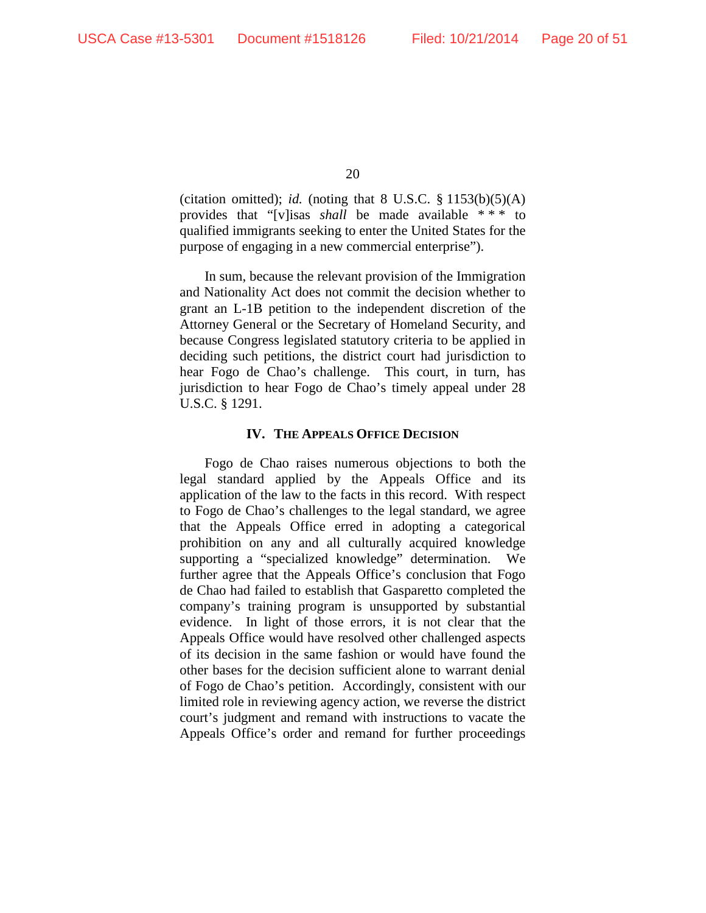(citation omitted); *id.* (noting that  $8 \text{ U.S.C. } \frac{8}{3} \cdot 1153(b)(5)(\text{A})$ provides that "[v]isas *shall* be made available \* \* \* to qualified immigrants seeking to enter the United States for the purpose of engaging in a new commercial enterprise").

In sum, because the relevant provision of the Immigration and Nationality Act does not commit the decision whether to grant an L-1B petition to the independent discretion of the Attorney General or the Secretary of Homeland Security, and because Congress legislated statutory criteria to be applied in deciding such petitions, the district court had jurisdiction to hear Fogo de Chao's challenge. This court, in turn, has jurisdiction to hear Fogo de Chao's timely appeal under 28 U.S.C. § 1291.

#### **IV. THE APPEALS OFFICE DECISION**

Fogo de Chao raises numerous objections to both the legal standard applied by the Appeals Office and its application of the law to the facts in this record. With respect to Fogo de Chao's challenges to the legal standard, we agree that the Appeals Office erred in adopting a categorical prohibition on any and all culturally acquired knowledge supporting a "specialized knowledge" determination. We further agree that the Appeals Office's conclusion that Fogo de Chao had failed to establish that Gasparetto completed the company's training program is unsupported by substantial evidence. In light of those errors, it is not clear that the Appeals Office would have resolved other challenged aspects of its decision in the same fashion or would have found the other bases for the decision sufficient alone to warrant denial of Fogo de Chao's petition. Accordingly, consistent with our limited role in reviewing agency action, we reverse the district court's judgment and remand with instructions to vacate the Appeals Office's order and remand for further proceedings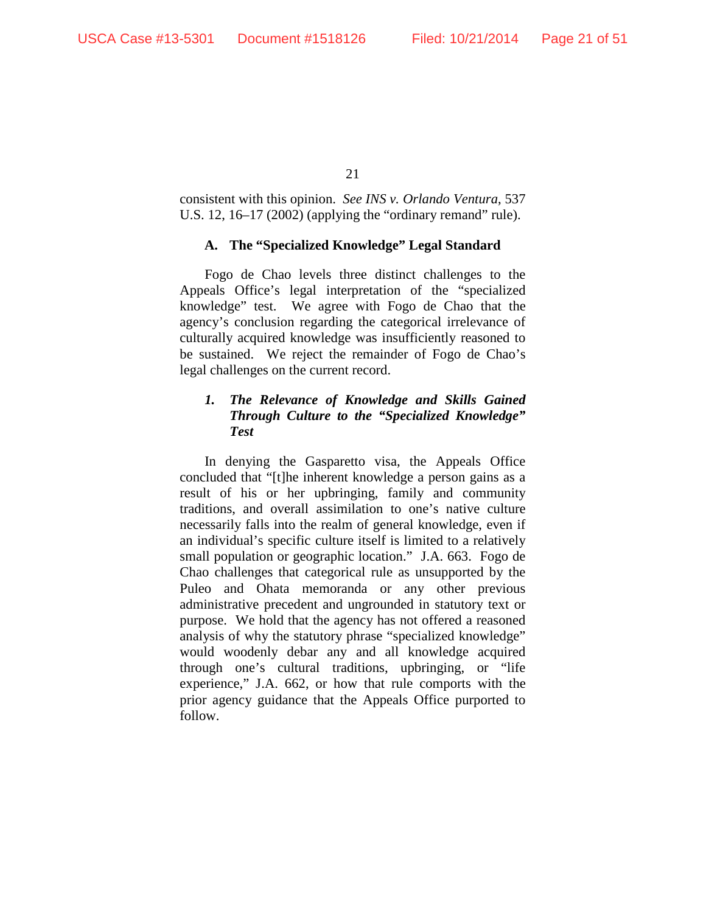consistent with this opinion. *See INS v. Orlando Ventura*, 537 U.S. 12, 16–17 (2002) (applying the "ordinary remand" rule).

## **A. The "Specialized Knowledge" Legal Standard**

Fogo de Chao levels three distinct challenges to the Appeals Office's legal interpretation of the "specialized knowledge" test. We agree with Fogo de Chao that the agency's conclusion regarding the categorical irrelevance of culturally acquired knowledge was insufficiently reasoned to be sustained. We reject the remainder of Fogo de Chao's legal challenges on the current record.

# *1. The Relevance of Knowledge and Skills Gained Through Culture to the "Specialized Knowledge" Test*

In denying the Gasparetto visa, the Appeals Office concluded that "[t]he inherent knowledge a person gains as a result of his or her upbringing, family and community traditions, and overall assimilation to one's native culture necessarily falls into the realm of general knowledge, even if an individual's specific culture itself is limited to a relatively small population or geographic location." J.A. 663. Fogo de Chao challenges that categorical rule as unsupported by the Puleo and Ohata memoranda or any other previous administrative precedent and ungrounded in statutory text or purpose. We hold that the agency has not offered a reasoned analysis of why the statutory phrase "specialized knowledge" would woodenly debar any and all knowledge acquired through one's cultural traditions, upbringing, or "life experience," J.A. 662, or how that rule comports with the prior agency guidance that the Appeals Office purported to follow.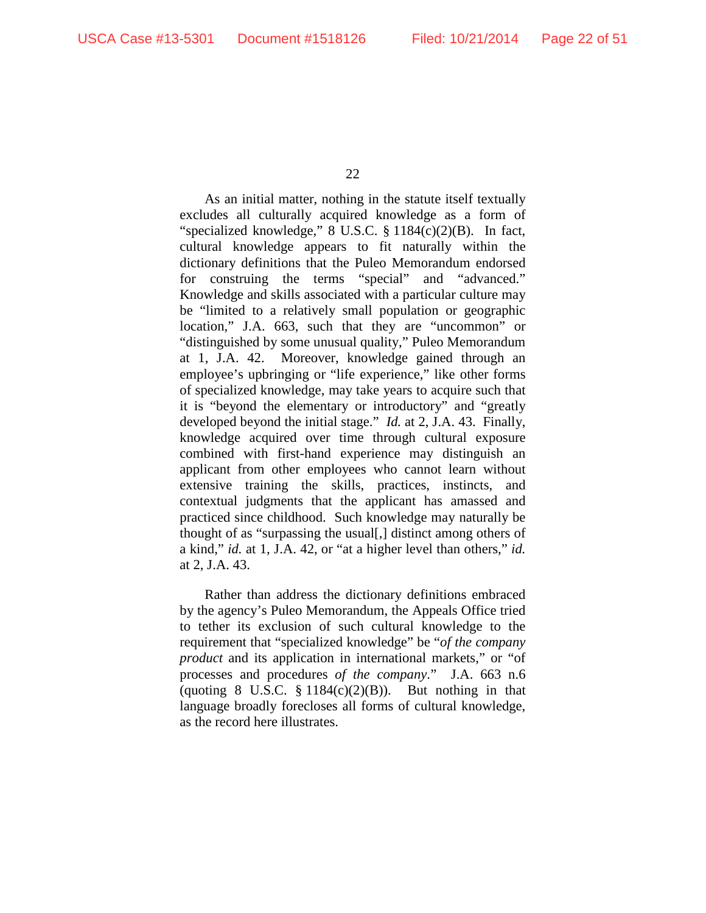As an initial matter, nothing in the statute itself textually excludes all culturally acquired knowledge as a form of "specialized knowledge," 8 U.S.C. § 1184(c)(2)(B). In fact, cultural knowledge appears to fit naturally within the dictionary definitions that the Puleo Memorandum endorsed for construing the terms "special" and "advanced." Knowledge and skills associated with a particular culture may be "limited to a relatively small population or geographic location," J.A. 663, such that they are "uncommon" or "distinguished by some unusual quality," Puleo Memorandum at 1, J.A. 42. Moreover, knowledge gained through an employee's upbringing or "life experience," like other forms of specialized knowledge, may take years to acquire such that it is "beyond the elementary or introductory" and "greatly developed beyond the initial stage." *Id.* at 2, J.A. 43. Finally, knowledge acquired over time through cultural exposure combined with first-hand experience may distinguish an applicant from other employees who cannot learn without extensive training the skills, practices, instincts, and contextual judgments that the applicant has amassed and practiced since childhood. Such knowledge may naturally be thought of as "surpassing the usual[,] distinct among others of a kind," *id.* at 1, J.A. 42, or "at a higher level than others," *id.* at 2, J.A. 43.

Rather than address the dictionary definitions embraced by the agency's Puleo Memorandum, the Appeals Office tried to tether its exclusion of such cultural knowledge to the requirement that "specialized knowledge" be "*of the company product* and its application in international markets," or "of processes and procedures *of the company*." J.A. 663 n.6 (quoting 8 U.S.C.  $\S 1184(c)(2)(B)$ ). But nothing in that language broadly forecloses all forms of cultural knowledge, as the record here illustrates.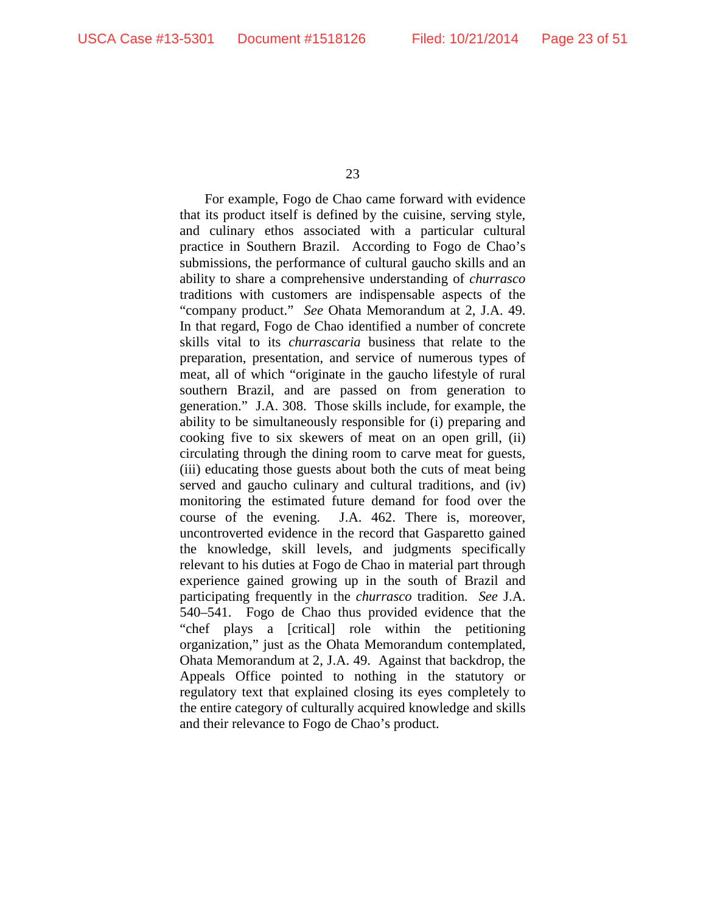For example, Fogo de Chao came forward with evidence that its product itself is defined by the cuisine, serving style, and culinary ethos associated with a particular cultural practice in Southern Brazil. According to Fogo de Chao's submissions, the performance of cultural gaucho skills and an ability to share a comprehensive understanding of *churrasco* traditions with customers are indispensable aspects of the "company product." *See* Ohata Memorandum at 2, J.A. 49. In that regard, Fogo de Chao identified a number of concrete skills vital to its *churrascaria* business that relate to the preparation, presentation, and service of numerous types of meat, all of which "originate in the gaucho lifestyle of rural southern Brazil, and are passed on from generation to generation." J.A. 308. Those skills include, for example, the ability to be simultaneously responsible for (i) preparing and cooking five to six skewers of meat on an open grill, (ii) circulating through the dining room to carve meat for guests, (iii) educating those guests about both the cuts of meat being served and gaucho culinary and cultural traditions, and (iv) monitoring the estimated future demand for food over the course of the evening. J.A. 462. There is, moreover, uncontroverted evidence in the record that Gasparetto gained the knowledge, skill levels, and judgments specifically relevant to his duties at Fogo de Chao in material part through experience gained growing up in the south of Brazil and participating frequently in the *churrasco* tradition. *See* J.A. 540–541. Fogo de Chao thus provided evidence that the "chef plays a [critical] role within the petitioning organization," just as the Ohata Memorandum contemplated, Ohata Memorandum at 2, J.A. 49. Against that backdrop, the Appeals Office pointed to nothing in the statutory or regulatory text that explained closing its eyes completely to the entire category of culturally acquired knowledge and skills and their relevance to Fogo de Chao's product.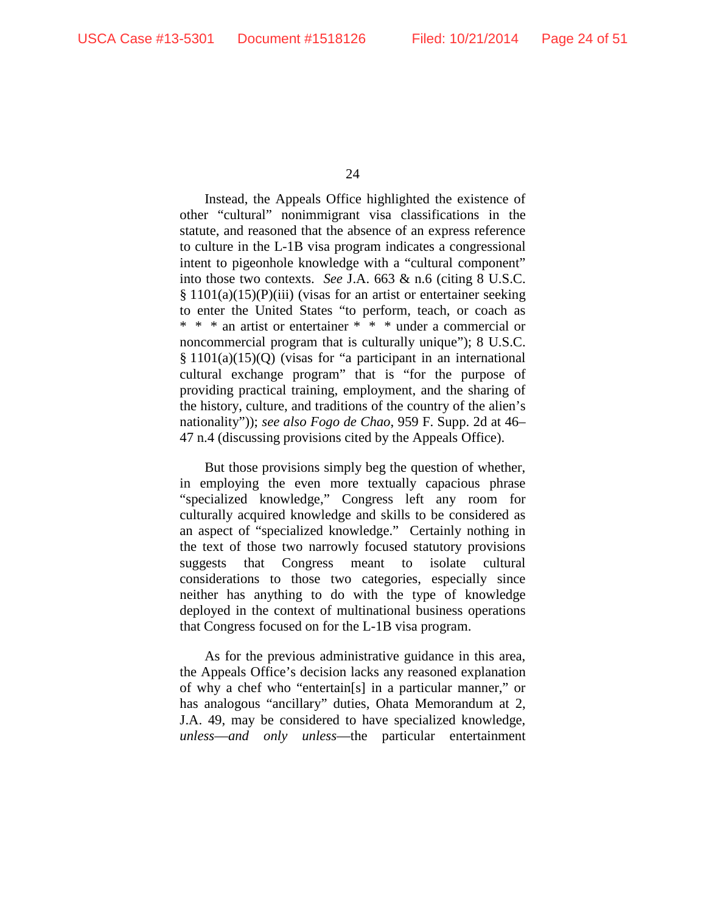Instead, the Appeals Office highlighted the existence of other "cultural" nonimmigrant visa classifications in the statute, and reasoned that the absence of an express reference to culture in the L-1B visa program indicates a congressional intent to pigeonhole knowledge with a "cultural component" into those two contexts. *See* J.A. 663 & n.6 (citing 8 U.S.C. § 1101(a)(15)(P)(iii) (visas for an artist or entertainer seeking to enter the United States "to perform, teach, or coach as \* \* \* an artist or entertainer \* \* \* under a commercial or noncommercial program that is culturally unique"); 8 U.S.C. § 1101(a)(15)(Q) (visas for "a participant in an international cultural exchange program" that is "for the purpose of providing practical training, employment, and the sharing of the history, culture, and traditions of the country of the alien's nationality")); *see also Fogo de Chao*, 959 F. Supp. 2d at 46– 47 n.4 (discussing provisions cited by the Appeals Office).

But those provisions simply beg the question of whether, in employing the even more textually capacious phrase "specialized knowledge," Congress left any room for culturally acquired knowledge and skills to be considered as an aspect of "specialized knowledge." Certainly nothing in the text of those two narrowly focused statutory provisions suggests that Congress meant to isolate cultural considerations to those two categories, especially since neither has anything to do with the type of knowledge deployed in the context of multinational business operations that Congress focused on for the L-1B visa program.

As for the previous administrative guidance in this area, the Appeals Office's decision lacks any reasoned explanation of why a chef who "entertain[s] in a particular manner," or has analogous "ancillary" duties, Ohata Memorandum at 2, J.A. 49, may be considered to have specialized knowledge, *unless*—*and only unless*—the particular entertainment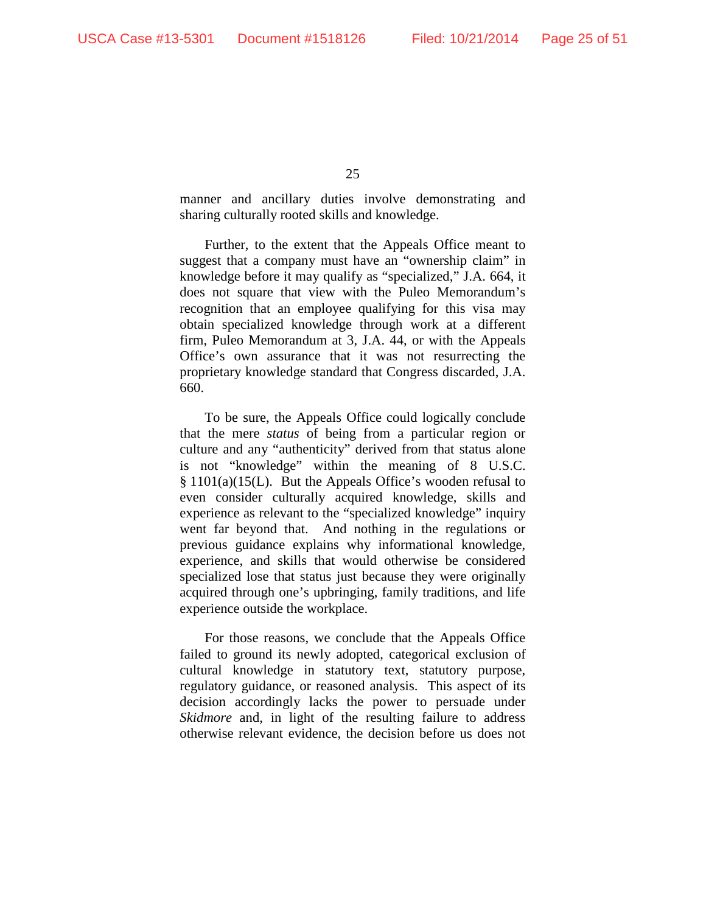manner and ancillary duties involve demonstrating and sharing culturally rooted skills and knowledge.

Further, to the extent that the Appeals Office meant to suggest that a company must have an "ownership claim" in knowledge before it may qualify as "specialized," J.A. 664, it does not square that view with the Puleo Memorandum's recognition that an employee qualifying for this visa may obtain specialized knowledge through work at a different firm, Puleo Memorandum at 3, J.A. 44, or with the Appeals Office's own assurance that it was not resurrecting the proprietary knowledge standard that Congress discarded, J.A. 660.

To be sure, the Appeals Office could logically conclude that the mere *status* of being from a particular region or culture and any "authenticity" derived from that status alone is not "knowledge" within the meaning of 8 U.S.C. § 1101(a)(15(L). But the Appeals Office's wooden refusal to even consider culturally acquired knowledge, skills and experience as relevant to the "specialized knowledge" inquiry went far beyond that. And nothing in the regulations or previous guidance explains why informational knowledge, experience, and skills that would otherwise be considered specialized lose that status just because they were originally acquired through one's upbringing, family traditions, and life experience outside the workplace.

For those reasons, we conclude that the Appeals Office failed to ground its newly adopted, categorical exclusion of cultural knowledge in statutory text, statutory purpose, regulatory guidance, or reasoned analysis. This aspect of its decision accordingly lacks the power to persuade under *Skidmore* and, in light of the resulting failure to address otherwise relevant evidence, the decision before us does not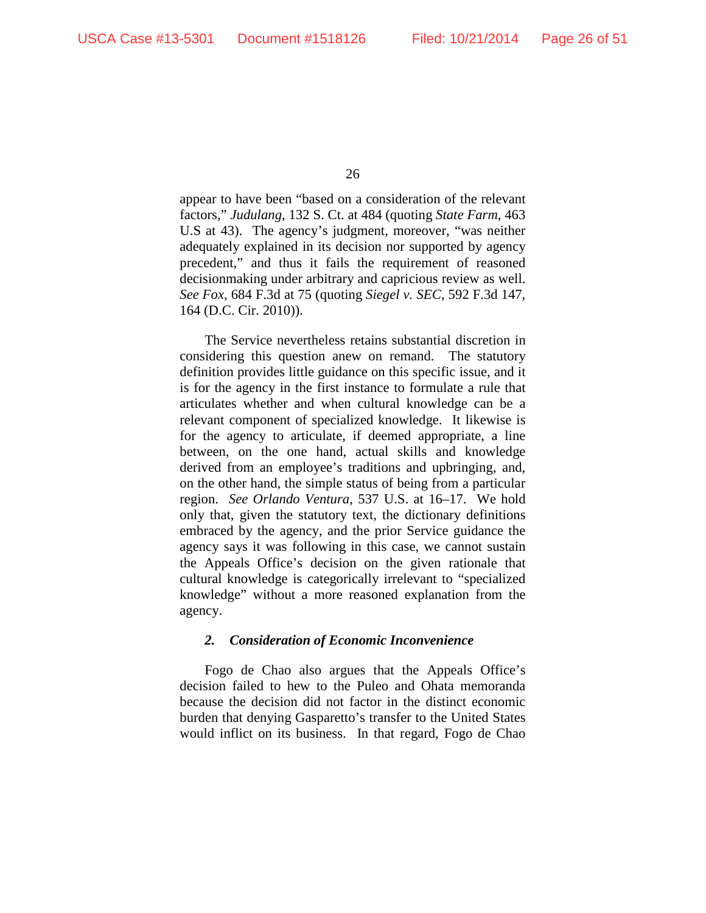appear to have been "based on a consideration of the relevant factors," *Judulang*, 132 S. Ct. at 484 (quoting *State Farm*, 463 U.S at 43). The agency's judgment, moreover, "was neither adequately explained in its decision nor supported by agency precedent," and thus it fails the requirement of reasoned decisionmaking under arbitrary and capricious review as well. *See Fox*, 684 F.3d at 75 (quoting *Siegel v. SEC*, 592 F.3d 147, 164 (D.C. Cir. 2010)).

The Service nevertheless retains substantial discretion in considering this question anew on remand. The statutory definition provides little guidance on this specific issue, and it is for the agency in the first instance to formulate a rule that articulates whether and when cultural knowledge can be a relevant component of specialized knowledge. It likewise is for the agency to articulate, if deemed appropriate, a line between, on the one hand, actual skills and knowledge derived from an employee's traditions and upbringing, and, on the other hand, the simple status of being from a particular region. *See Orlando Ventura*, 537 U.S. at 16–17. We hold only that, given the statutory text, the dictionary definitions embraced by the agency, and the prior Service guidance the agency says it was following in this case, we cannot sustain the Appeals Office's decision on the given rationale that cultural knowledge is categorically irrelevant to "specialized knowledge" without a more reasoned explanation from the agency.

## *2. Consideration of Economic Inconvenience*

Fogo de Chao also argues that the Appeals Office's decision failed to hew to the Puleo and Ohata memoranda because the decision did not factor in the distinct economic burden that denying Gasparetto's transfer to the United States would inflict on its business. In that regard, Fogo de Chao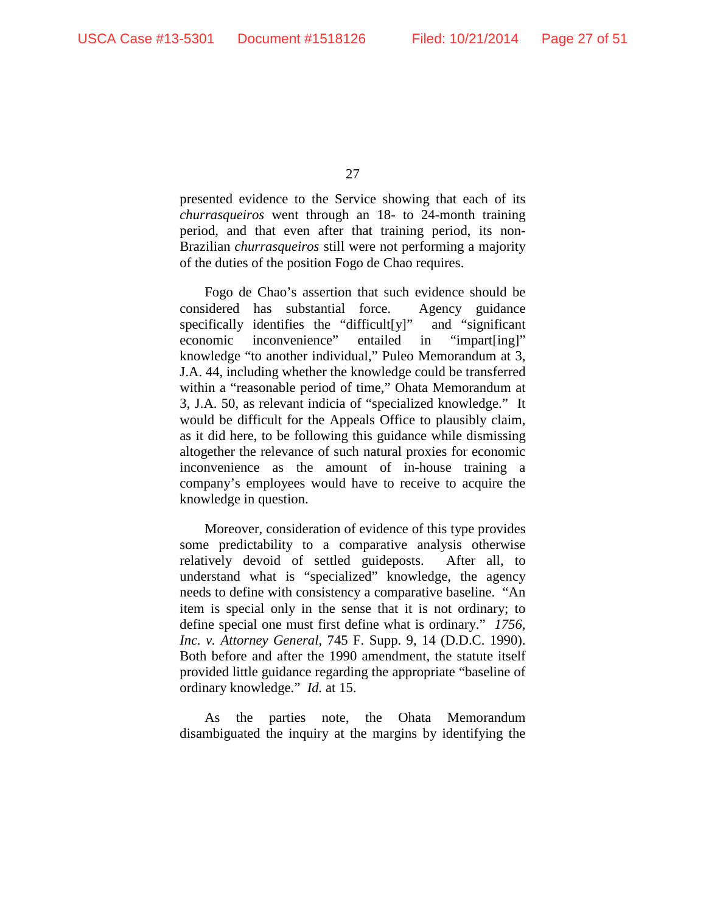presented evidence to the Service showing that each of its *churrasqueiros* went through an 18- to 24-month training period, and that even after that training period, its non-Brazilian *churrasqueiros* still were not performing a majority of the duties of the position Fogo de Chao requires.

Fogo de Chao's assertion that such evidence should be considered has substantial force. Agency guidance specifically identifies the "difficult[y]" and "significant economic inconvenience" entailed in "impart[ing]" knowledge "to another individual," Puleo Memorandum at 3, J.A. 44, including whether the knowledge could be transferred within a "reasonable period of time," Ohata Memorandum at 3, J.A. 50, as relevant indicia of "specialized knowledge." It would be difficult for the Appeals Office to plausibly claim, as it did here, to be following this guidance while dismissing altogether the relevance of such natural proxies for economic inconvenience as the amount of in-house training a company's employees would have to receive to acquire the knowledge in question.

Moreover, consideration of evidence of this type provides some predictability to a comparative analysis otherwise relatively devoid of settled guideposts. After all, to understand what is "specialized" knowledge, the agency needs to define with consistency a comparative baseline. "An item is special only in the sense that it is not ordinary; to define special one must first define what is ordinary." *1756, Inc. v. Attorney General*, 745 F. Supp. 9, 14 (D.D.C. 1990). Both before and after the 1990 amendment, the statute itself provided little guidance regarding the appropriate "baseline of ordinary knowledge." *Id.* at 15.

As the parties note, the Ohata Memorandum disambiguated the inquiry at the margins by identifying the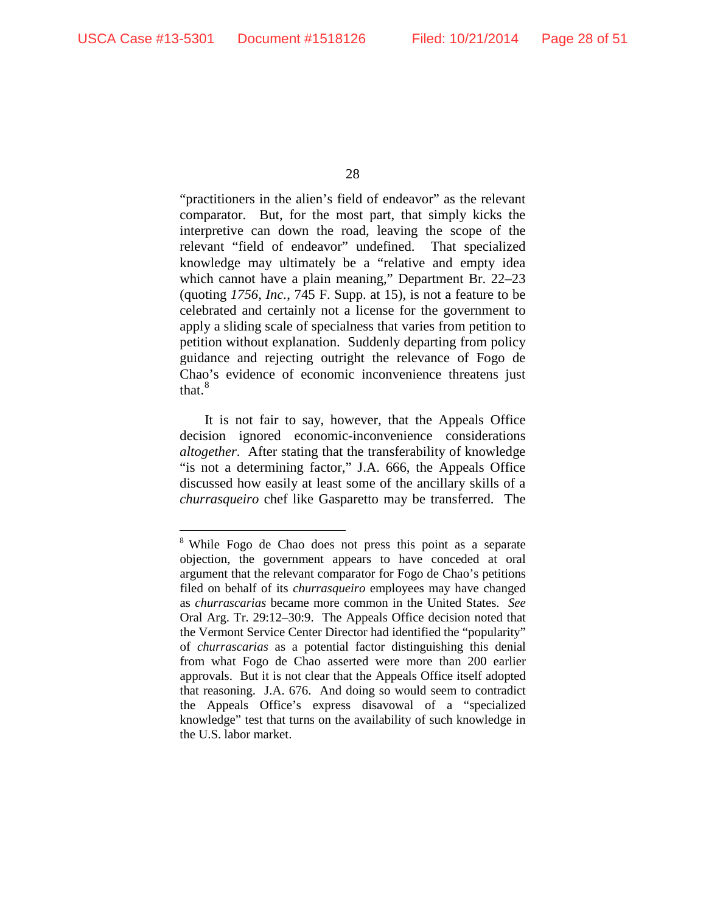"practitioners in the alien's field of endeavor" as the relevant comparator. But, for the most part, that simply kicks the interpretive can down the road, leaving the scope of the relevant "field of endeavor" undefined. That specialized knowledge may ultimately be a "relative and empty idea which cannot have a plain meaning," Department Br. 22–23 (quoting *1756, Inc.*, 745 F. Supp. at 15), is not a feature to be celebrated and certainly not a license for the government to apply a sliding scale of specialness that varies from petition to petition without explanation. Suddenly departing from policy guidance and rejecting outright the relevance of Fogo de Chao's evidence of economic inconvenience threatens just that.<sup>8</sup>

It is not fair to say, however, that the Appeals Office decision ignored economic-inconvenience considerations *altogether*. After stating that the transferability of knowledge "is not a determining factor," J.A. 666, the Appeals Office discussed how easily at least some of the ancillary skills of a *churrasqueiro* chef like Gasparetto may be transferred. The

 <sup>8</sup> While Fogo de Chao does not press this point as <sup>a</sup> separate objection, the government appears to have conceded at oral argument that the relevant comparator for Fogo de Chao's petitions filed on behalf of its *churrasqueiro* employees may have changed as *churrascarias* became more common in the United States. *See* Oral Arg. Tr. 29:12–30:9. The Appeals Office decision noted that the Vermont Service Center Director had identified the "popularity" of *churrascarias* as a potential factor distinguishing this denial from what Fogo de Chao asserted were more than 200 earlier approvals. But it is not clear that the Appeals Office itself adopted that reasoning. J.A. 676. And doing so would seem to contradict the Appeals Office's express disavowal of a "specialized knowledge" test that turns on the availability of such knowledge in the U.S. labor market.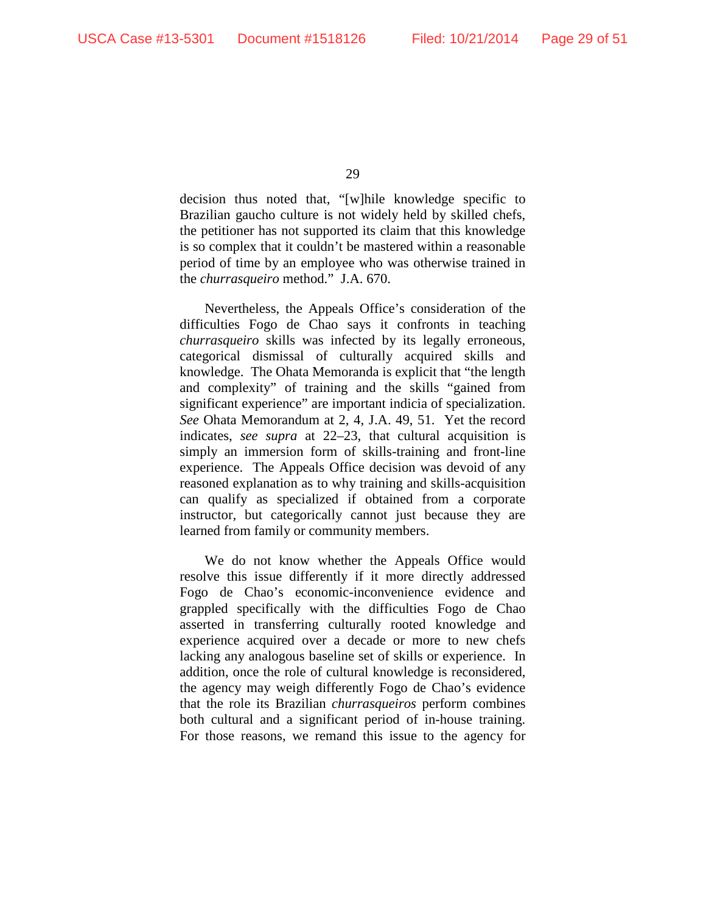decision thus noted that, "[w]hile knowledge specific to Brazilian gaucho culture is not widely held by skilled chefs, the petitioner has not supported its claim that this knowledge is so complex that it couldn't be mastered within a reasonable period of time by an employee who was otherwise trained in the *churrasqueiro* method." J.A. 670.

Nevertheless, the Appeals Office's consideration of the difficulties Fogo de Chao says it confronts in teaching *churrasqueiro* skills was infected by its legally erroneous, categorical dismissal of culturally acquired skills and knowledge. The Ohata Memoranda is explicit that "the length and complexity" of training and the skills "gained from significant experience" are important indicia of specialization. *See* Ohata Memorandum at 2, 4, J.A. 49, 51. Yet the record indicates, *see supra* at 22–23, that cultural acquisition is simply an immersion form of skills-training and front-line experience. The Appeals Office decision was devoid of any reasoned explanation as to why training and skills-acquisition can qualify as specialized if obtained from a corporate instructor, but categorically cannot just because they are learned from family or community members.

We do not know whether the Appeals Office would resolve this issue differently if it more directly addressed Fogo de Chao's economic-inconvenience evidence and grappled specifically with the difficulties Fogo de Chao asserted in transferring culturally rooted knowledge and experience acquired over a decade or more to new chefs lacking any analogous baseline set of skills or experience. In addition, once the role of cultural knowledge is reconsidered, the agency may weigh differently Fogo de Chao's evidence that the role its Brazilian *churrasqueiros* perform combines both cultural and a significant period of in-house training. For those reasons, we remand this issue to the agency for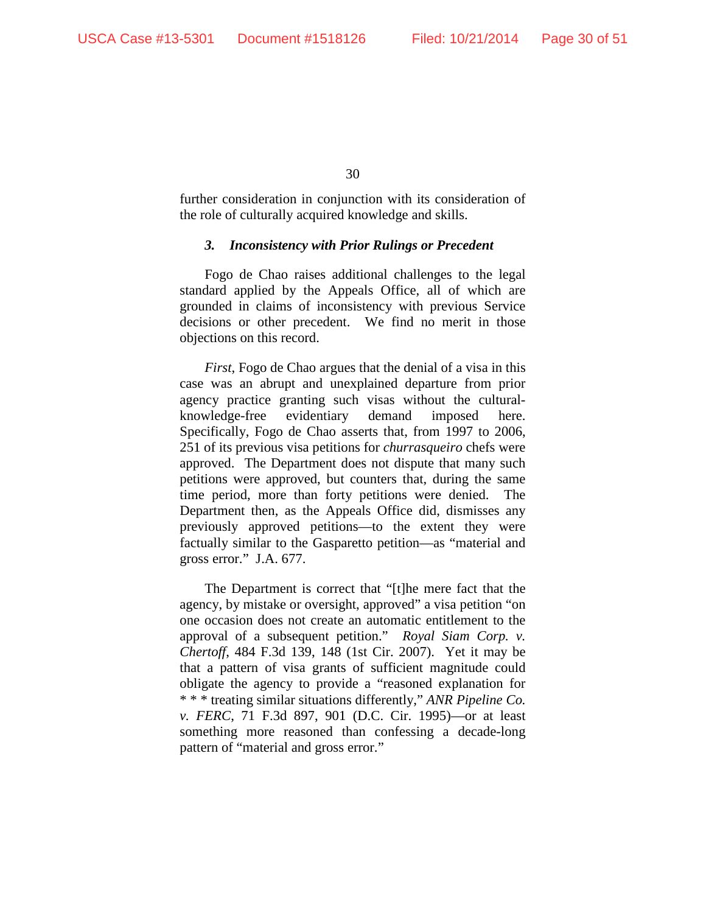further consideration in conjunction with its consideration of the role of culturally acquired knowledge and skills.

#### *3. Inconsistency with Prior Rulings or Precedent*

Fogo de Chao raises additional challenges to the legal standard applied by the Appeals Office, all of which are grounded in claims of inconsistency with previous Service decisions or other precedent. We find no merit in those objections on this record.

*First*, Fogo de Chao argues that the denial of a visa in this case was an abrupt and unexplained departure from prior agency practice granting such visas without the culturalknowledge-free evidentiary demand imposed here. Specifically, Fogo de Chao asserts that, from 1997 to 2006, 251 of its previous visa petitions for *churrasqueiro* chefs were approved. The Department does not dispute that many such petitions were approved, but counters that, during the same time period, more than forty petitions were denied. The Department then, as the Appeals Office did, dismisses any previously approved petitions—to the extent they were factually similar to the Gasparetto petition—as "material and gross error." J.A. 677.

The Department is correct that "[t]he mere fact that the agency, by mistake or oversight, approved" a visa petition "on one occasion does not create an automatic entitlement to the approval of a subsequent petition." *Royal Siam Corp. v. Chertoff*, 484 F.3d 139, 148 (1st Cir. 2007). Yet it may be that a pattern of visa grants of sufficient magnitude could obligate the agency to provide a "reasoned explanation for \* \* \* treating similar situations differently," *ANR Pipeline Co. v. FERC*, 71 F.3d 897, 901 (D.C. Cir. 1995)—or at least something more reasoned than confessing a decade-long pattern of "material and gross error."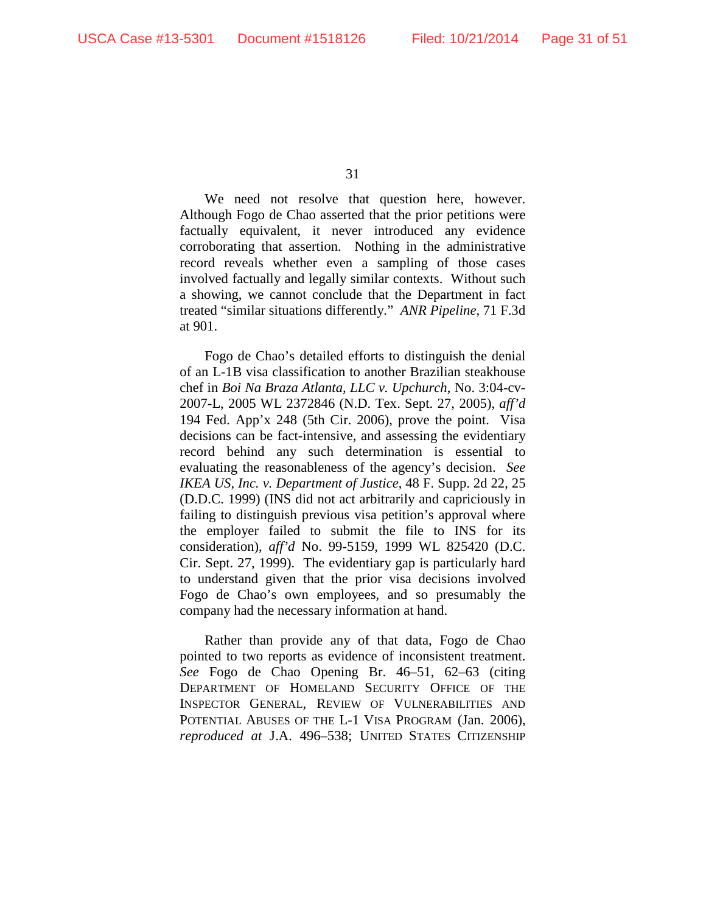We need not resolve that question here, however. Although Fogo de Chao asserted that the prior petitions were factually equivalent, it never introduced any evidence corroborating that assertion. Nothing in the administrative record reveals whether even a sampling of those cases involved factually and legally similar contexts. Without such a showing, we cannot conclude that the Department in fact treated "similar situations differently." *ANR Pipeline*, 71 F.3d at 901.

Fogo de Chao's detailed efforts to distinguish the denial of an L-1B visa classification to another Brazilian steakhouse chef in *Boi Na Braza Atlanta, LLC v. Upchurch*, No. 3:04-cv-2007-L, 2005 WL 2372846 (N.D. Tex. Sept. 27, 2005), *aff'd* 194 Fed. App'x 248 (5th Cir. 2006), prove the point. Visa decisions can be fact-intensive, and assessing the evidentiary record behind any such determination is essential to evaluating the reasonableness of the agency's decision. *See IKEA US, Inc. v. Department of Justice*, 48 F. Supp. 2d 22, 25 (D.D.C. 1999) (INS did not act arbitrarily and capriciously in failing to distinguish previous visa petition's approval where the employer failed to submit the file to INS for its consideration), *aff'd* No. 99-5159, 1999 WL 825420 (D.C. Cir. Sept. 27, 1999). The evidentiary gap is particularly hard to understand given that the prior visa decisions involved Fogo de Chao's own employees, and so presumably the company had the necessary information at hand.

Rather than provide any of that data, Fogo de Chao pointed to two reports as evidence of inconsistent treatment. *See* Fogo de Chao Opening Br. 46–51, 62–63 (citing DEPARTMENT OF HOMELAND SECURITY OFFICE OF THE INSPECTOR GENERAL, REVIEW OF VULNERABILITIES AND POTENTIAL ABUSES OF THE L-1 VISA PROGRAM (Jan. 2006), *reproduced at* J.A. 496–538; UNITED STATES CITIZENSHIP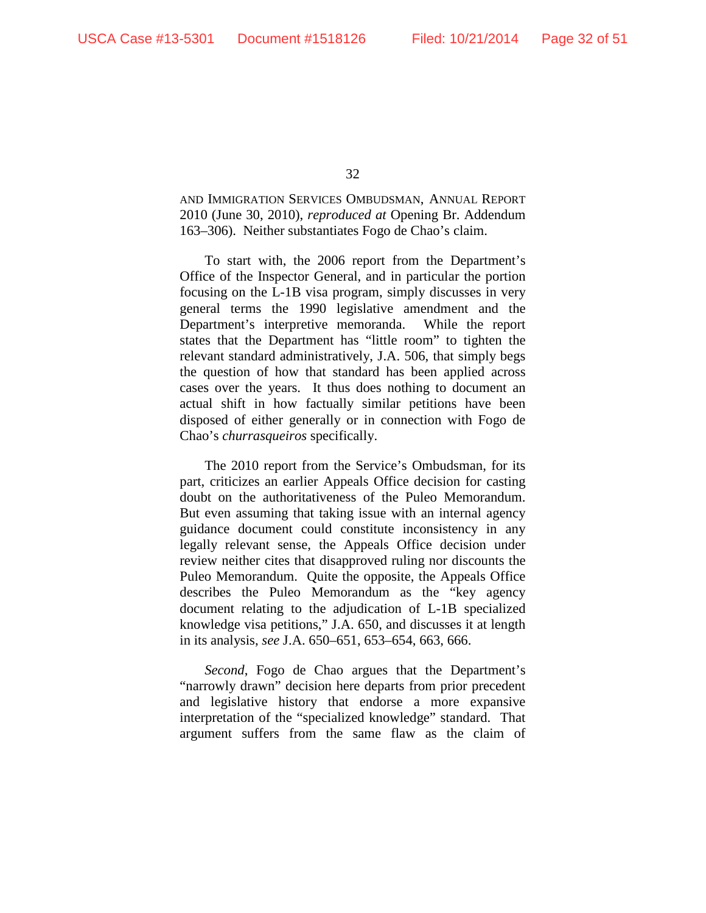AND IMMIGRATION SERVICES OMBUDSMAN, ANNUAL REPORT 2010 (June 30, 2010), *reproduced at* Opening Br. Addendum 163–306). Neither substantiates Fogo de Chao's claim.

To start with, the 2006 report from the Department's Office of the Inspector General, and in particular the portion focusing on the L-1B visa program, simply discusses in very general terms the 1990 legislative amendment and the Department's interpretive memoranda. While the report states that the Department has "little room" to tighten the relevant standard administratively, J.A. 506, that simply begs the question of how that standard has been applied across cases over the years. It thus does nothing to document an actual shift in how factually similar petitions have been disposed of either generally or in connection with Fogo de Chao's *churrasqueiros* specifically.

The 2010 report from the Service's Ombudsman, for its part, criticizes an earlier Appeals Office decision for casting doubt on the authoritativeness of the Puleo Memorandum. But even assuming that taking issue with an internal agency guidance document could constitute inconsistency in any legally relevant sense, the Appeals Office decision under review neither cites that disapproved ruling nor discounts the Puleo Memorandum. Quite the opposite, the Appeals Office describes the Puleo Memorandum as the "key agency document relating to the adjudication of L-1B specialized knowledge visa petitions," J.A. 650, and discusses it at length in its analysis, *see* J.A. 650–651, 653–654, 663, 666.

*Second*, Fogo de Chao argues that the Department's "narrowly drawn" decision here departs from prior precedent and legislative history that endorse a more expansive interpretation of the "specialized knowledge" standard. That argument suffers from the same flaw as the claim of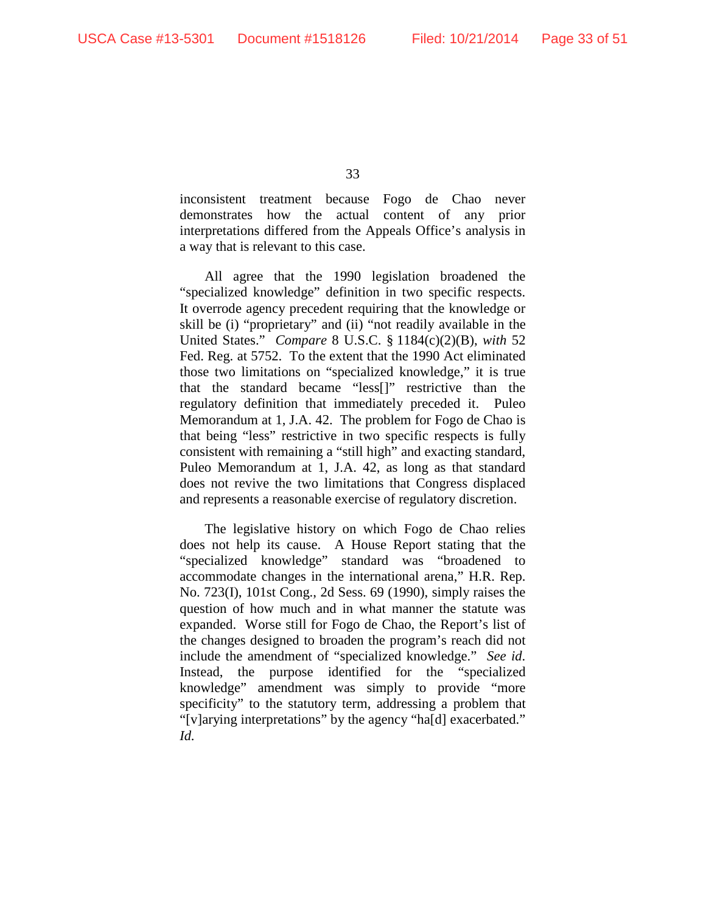inconsistent treatment because Fogo de Chao never demonstrates how the actual content of any prior interpretations differed from the Appeals Office's analysis in a way that is relevant to this case.

All agree that the 1990 legislation broadened the "specialized knowledge" definition in two specific respects. It overrode agency precedent requiring that the knowledge or skill be (i) "proprietary" and (ii) "not readily available in the United States." *Compare* 8 U.S.C. § 1184(c)(2)(B), *with* 52 Fed. Reg. at 5752. To the extent that the 1990 Act eliminated those two limitations on "specialized knowledge," it is true that the standard became "less[]" restrictive than the regulatory definition that immediately preceded it. Puleo Memorandum at 1, J.A. 42. The problem for Fogo de Chao is that being "less" restrictive in two specific respects is fully consistent with remaining a "still high" and exacting standard, Puleo Memorandum at 1, J.A. 42, as long as that standard does not revive the two limitations that Congress displaced and represents a reasonable exercise of regulatory discretion.

The legislative history on which Fogo de Chao relies does not help its cause. A House Report stating that the "specialized knowledge" standard was "broadened to accommodate changes in the international arena," H.R. Rep. No. 723(I), 101st Cong., 2d Sess. 69 (1990), simply raises the question of how much and in what manner the statute was expanded. Worse still for Fogo de Chao, the Report's list of the changes designed to broaden the program's reach did not include the amendment of "specialized knowledge." *See id*. Instead, the purpose identified for the "specialized knowledge" amendment was simply to provide "more specificity" to the statutory term, addressing a problem that "[v]arying interpretations" by the agency "ha[d] exacerbated." *Id.*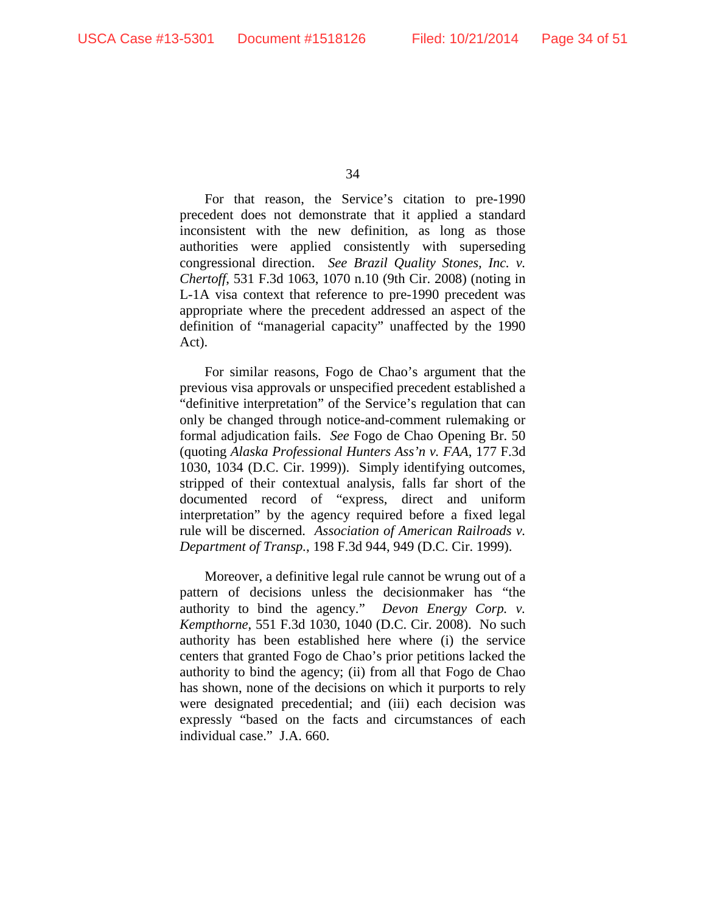For that reason, the Service's citation to pre-1990 precedent does not demonstrate that it applied a standard inconsistent with the new definition, as long as those authorities were applied consistently with superseding congressional direction. *See Brazil Quality Stones, Inc. v. Chertoff*, 531 F.3d 1063, 1070 n.10 (9th Cir. 2008) (noting in L-1A visa context that reference to pre-1990 precedent was appropriate where the precedent addressed an aspect of the definition of "managerial capacity" unaffected by the 1990 Act).

For similar reasons, Fogo de Chao's argument that the previous visa approvals or unspecified precedent established a "definitive interpretation" of the Service's regulation that can only be changed through notice-and-comment rulemaking or formal adjudication fails. *See* Fogo de Chao Opening Br. 50 (quoting *Alaska Professional Hunters Ass'n v. FAA*, 177 F.3d 1030, 1034 (D.C. Cir. 1999)). Simply identifying outcomes, stripped of their contextual analysis, falls far short of the documented record of "express, direct and uniform interpretation" by the agency required before a fixed legal rule will be discerned. *Association of American Railroads v. Department of Transp.*, 198 F.3d 944, 949 (D.C. Cir. 1999).

Moreover, a definitive legal rule cannot be wrung out of a pattern of decisions unless the decisionmaker has "the authority to bind the agency." *Devon Energy Corp. v. Kempthorne*, 551 F.3d 1030, 1040 (D.C. Cir. 2008). No such authority has been established here where (i) the service centers that granted Fogo de Chao's prior petitions lacked the authority to bind the agency; (ii) from all that Fogo de Chao has shown, none of the decisions on which it purports to rely were designated precedential; and (iii) each decision was expressly "based on the facts and circumstances of each individual case." J.A. 660.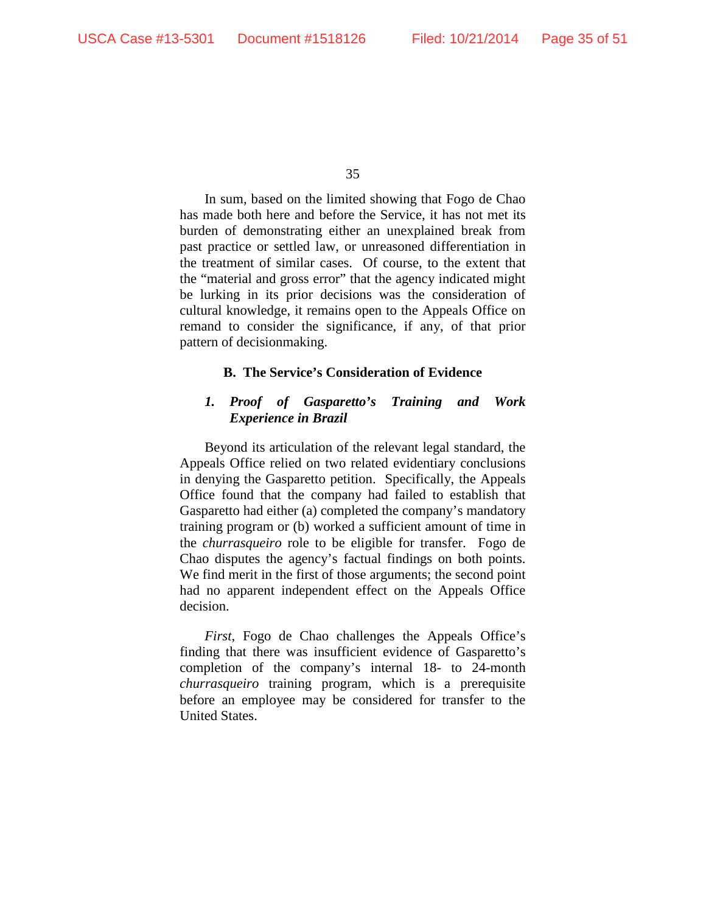In sum, based on the limited showing that Fogo de Chao has made both here and before the Service, it has not met its burden of demonstrating either an unexplained break from past practice or settled law, or unreasoned differentiation in the treatment of similar cases. Of course, to the extent that the "material and gross error" that the agency indicated might be lurking in its prior decisions was the consideration of cultural knowledge, it remains open to the Appeals Office on remand to consider the significance, if any, of that prior pattern of decisionmaking.

## **B. The Service's Consideration of Evidence**

## *1. Proof of Gasparetto's Training and Work Experience in Brazil*

Beyond its articulation of the relevant legal standard, the Appeals Office relied on two related evidentiary conclusions in denying the Gasparetto petition. Specifically, the Appeals Office found that the company had failed to establish that Gasparetto had either (a) completed the company's mandatory training program or (b) worked a sufficient amount of time in the *churrasqueiro* role to be eligible for transfer. Fogo de Chao disputes the agency's factual findings on both points. We find merit in the first of those arguments; the second point had no apparent independent effect on the Appeals Office decision.

*First*, Fogo de Chao challenges the Appeals Office's finding that there was insufficient evidence of Gasparetto's completion of the company's internal 18- to 24-month *churrasqueiro* training program, which is a prerequisite before an employee may be considered for transfer to the United States.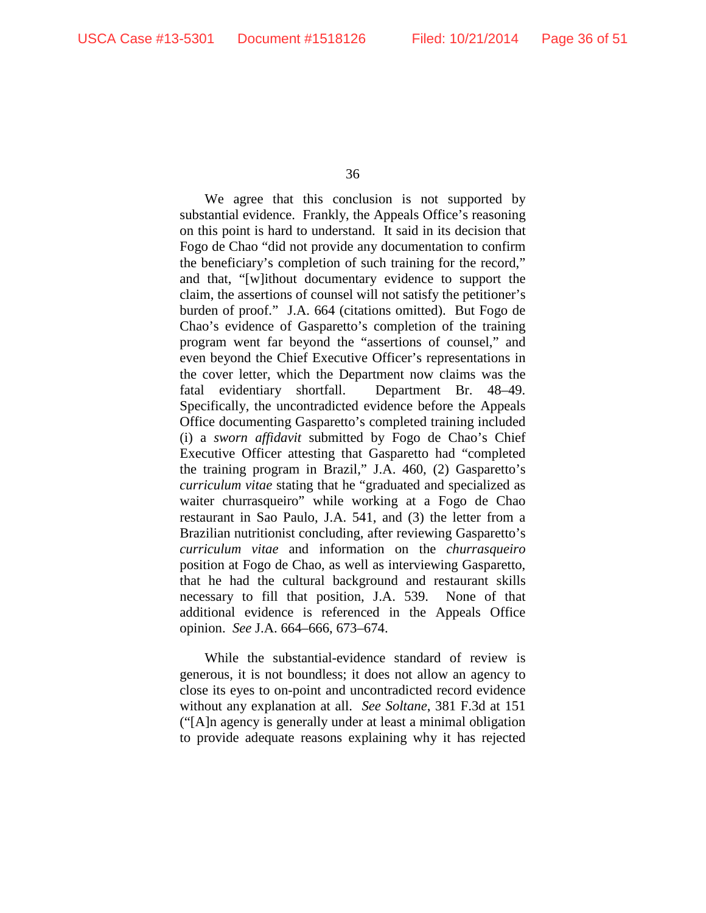We agree that this conclusion is not supported by substantial evidence. Frankly, the Appeals Office's reasoning on this point is hard to understand. It said in its decision that Fogo de Chao "did not provide any documentation to confirm the beneficiary's completion of such training for the record," and that, "[w]ithout documentary evidence to support the claim, the assertions of counsel will not satisfy the petitioner's burden of proof." J.A. 664 (citations omitted). But Fogo de Chao's evidence of Gasparetto's completion of the training program went far beyond the "assertions of counsel," and even beyond the Chief Executive Officer's representations in the cover letter, which the Department now claims was the fatal evidentiary shortfall. Department Br. 48–49. Specifically, the uncontradicted evidence before the Appeals Office documenting Gasparetto's completed training included (i) a *sworn affidavit* submitted by Fogo de Chao's Chief Executive Officer attesting that Gasparetto had "completed the training program in Brazil," J.A. 460, (2) Gasparetto's *curriculum vitae* stating that he "graduated and specialized as waiter churrasqueiro" while working at a Fogo de Chao restaurant in Sao Paulo, J.A. 541, and (3) the letter from a Brazilian nutritionist concluding, after reviewing Gasparetto's *curriculum vitae* and information on the *churrasqueiro* position at Fogo de Chao, as well as interviewing Gasparetto, that he had the cultural background and restaurant skills necessary to fill that position, J.A. 539. None of that additional evidence is referenced in the Appeals Office opinion. *See* J.A. 664–666, 673–674.

While the substantial-evidence standard of review is generous, it is not boundless; it does not allow an agency to close its eyes to on-point and uncontradicted record evidence without any explanation at all. *See Soltane*, 381 F.3d at 151 ("[A]n agency is generally under at least a minimal obligation to provide adequate reasons explaining why it has rejected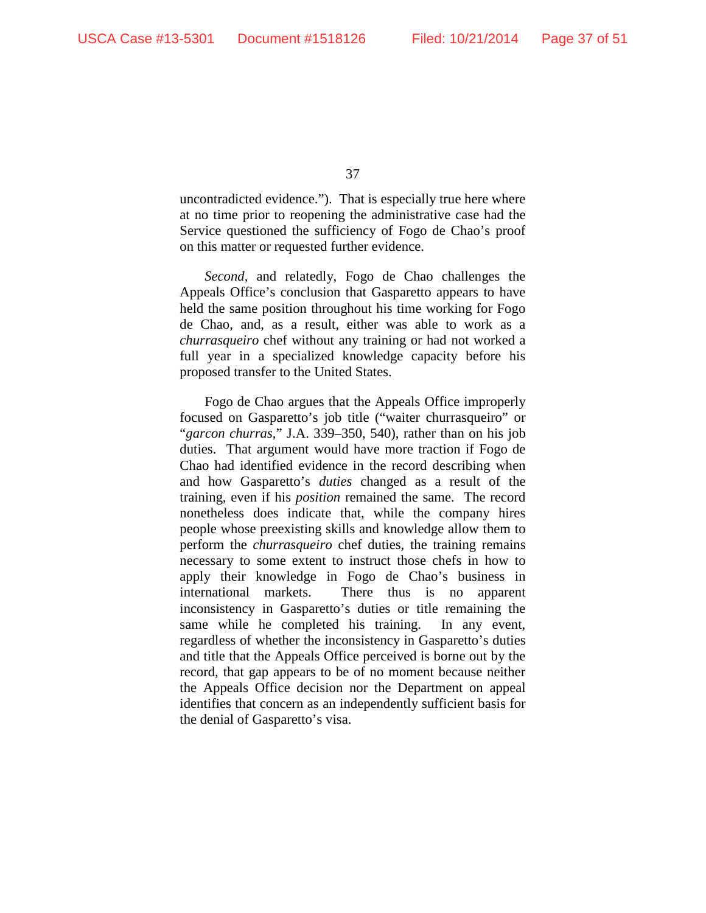uncontradicted evidence."). That is especially true here where at no time prior to reopening the administrative case had the Service questioned the sufficiency of Fogo de Chao's proof on this matter or requested further evidence.

*Second*, and relatedly, Fogo de Chao challenges the Appeals Office's conclusion that Gasparetto appears to have held the same position throughout his time working for Fogo de Chao, and, as a result, either was able to work as a *churrasqueiro* chef without any training or had not worked a full year in a specialized knowledge capacity before his proposed transfer to the United States.

Fogo de Chao argues that the Appeals Office improperly focused on Gasparetto's job title ("waiter churrasqueiro" or "*garcon churras*," J.A. 339–350, 540), rather than on his job duties. That argument would have more traction if Fogo de Chao had identified evidence in the record describing when and how Gasparetto's *duties* changed as a result of the training, even if his *position* remained the same. The record nonetheless does indicate that, while the company hires people whose preexisting skills and knowledge allow them to perform the *churrasqueiro* chef duties, the training remains necessary to some extent to instruct those chefs in how to apply their knowledge in Fogo de Chao's business in international markets. There thus is no apparent inconsistency in Gasparetto's duties or title remaining the same while he completed his training. In any event, regardless of whether the inconsistency in Gasparetto's duties and title that the Appeals Office perceived is borne out by the record, that gap appears to be of no moment because neither the Appeals Office decision nor the Department on appeal identifies that concern as an independently sufficient basis for the denial of Gasparetto's visa.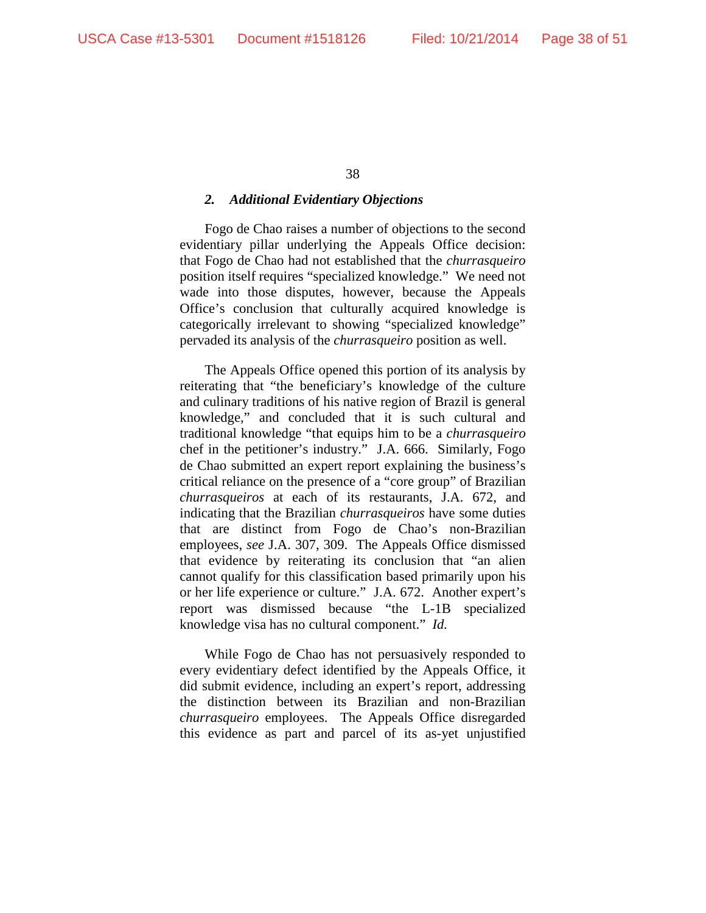#### *2. Additional Evidentiary Objections*

Fogo de Chao raises a number of objections to the second evidentiary pillar underlying the Appeals Office decision: that Fogo de Chao had not established that the *churrasqueiro* position itself requires "specialized knowledge." We need not wade into those disputes, however, because the Appeals Office's conclusion that culturally acquired knowledge is categorically irrelevant to showing "specialized knowledge" pervaded its analysis of the *churrasqueiro* position as well.

The Appeals Office opened this portion of its analysis by reiterating that "the beneficiary's knowledge of the culture and culinary traditions of his native region of Brazil is general knowledge," and concluded that it is such cultural and traditional knowledge "that equips him to be a *churrasqueiro* chef in the petitioner's industry." J.A. 666. Similarly, Fogo de Chao submitted an expert report explaining the business's critical reliance on the presence of a "core group" of Brazilian *churrasqueiros* at each of its restaurants, J.A. 672, and indicating that the Brazilian *churrasqueiros* have some duties that are distinct from Fogo de Chao's non-Brazilian employees, *see* J.A. 307, 309. The Appeals Office dismissed that evidence by reiterating its conclusion that "an alien cannot qualify for this classification based primarily upon his or her life experience or culture." J.A. 672. Another expert's report was dismissed because "the L-1B specialized knowledge visa has no cultural component." *Id.*

While Fogo de Chao has not persuasively responded to every evidentiary defect identified by the Appeals Office, it did submit evidence, including an expert's report, addressing the distinction between its Brazilian and non-Brazilian *churrasqueiro* employees. The Appeals Office disregarded this evidence as part and parcel of its as-yet unjustified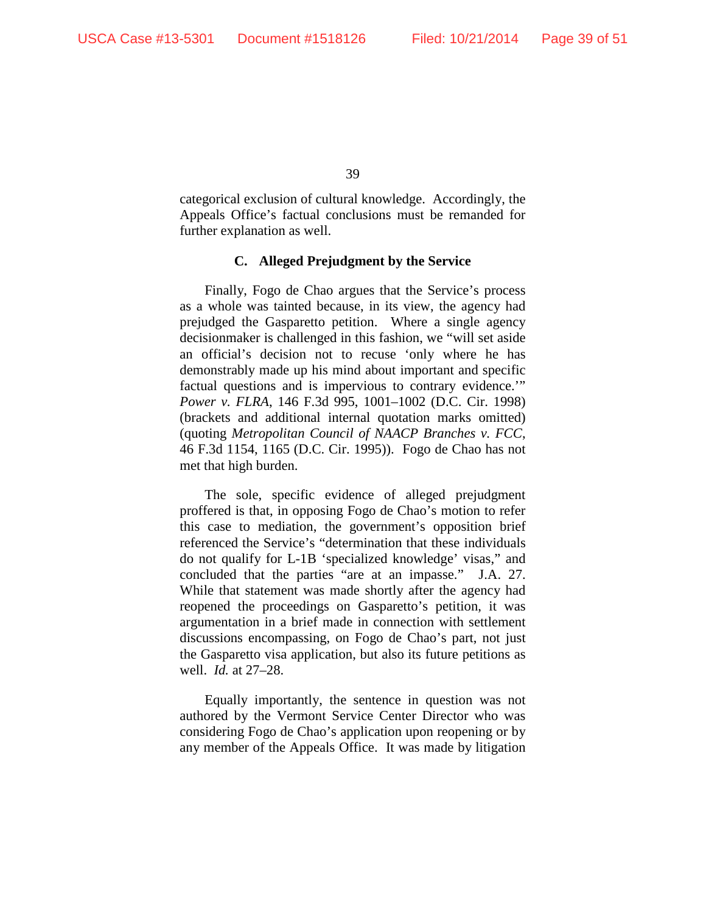categorical exclusion of cultural knowledge. Accordingly, the Appeals Office's factual conclusions must be remanded for further explanation as well.

## **C. Alleged Prejudgment by the Service**

Finally, Fogo de Chao argues that the Service's process as a whole was tainted because, in its view, the agency had prejudged the Gasparetto petition. Where a single agency decisionmaker is challenged in this fashion, we "will set aside an official's decision not to recuse 'only where he has demonstrably made up his mind about important and specific factual questions and is impervious to contrary evidence.'" *Power v. FLRA*, 146 F.3d 995, 1001–1002 (D.C. Cir. 1998) (brackets and additional internal quotation marks omitted) (quoting *Metropolitan Council of NAACP Branches v. FCC*, 46 F.3d 1154, 1165 (D.C. Cir. 1995)). Fogo de Chao has not met that high burden.

The sole, specific evidence of alleged prejudgment proffered is that, in opposing Fogo de Chao's motion to refer this case to mediation, the government's opposition brief referenced the Service's "determination that these individuals do not qualify for L-1B 'specialized knowledge' visas," and concluded that the parties "are at an impasse." J.A. 27. While that statement was made shortly after the agency had reopened the proceedings on Gasparetto's petition, it was argumentation in a brief made in connection with settlement discussions encompassing, on Fogo de Chao's part, not just the Gasparetto visa application, but also its future petitions as well. *Id.* at 27–28.

Equally importantly, the sentence in question was not authored by the Vermont Service Center Director who was considering Fogo de Chao's application upon reopening or by any member of the Appeals Office. It was made by litigation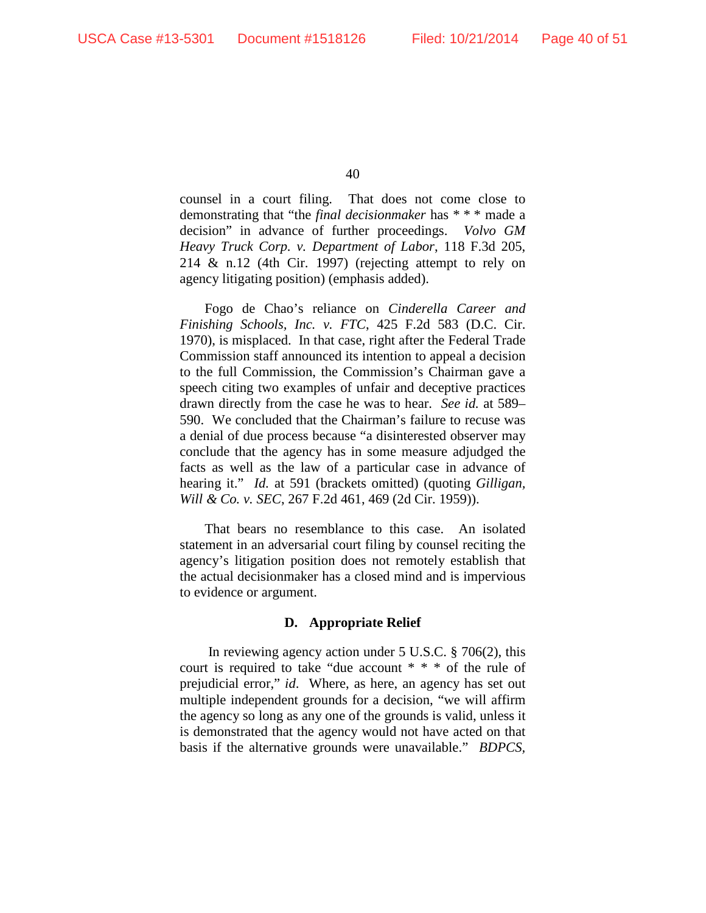counsel in a court filing. That does not come close to demonstrating that "the *final decisionmaker* has \* \* \* made a decision" in advance of further proceedings. *Volvo GM Heavy Truck Corp. v. Department of Labor*, 118 F.3d 205, 214 & n.12 (4th Cir. 1997) (rejecting attempt to rely on agency litigating position) (emphasis added).

Fogo de Chao's reliance on *Cinderella Career and Finishing Schools, Inc. v. FTC*, 425 F.2d 583 (D.C. Cir. 1970), is misplaced. In that case, right after the Federal Trade Commission staff announced its intention to appeal a decision to the full Commission, the Commission's Chairman gave a speech citing two examples of unfair and deceptive practices drawn directly from the case he was to hear. *See id.* at 589– 590. We concluded that the Chairman's failure to recuse was a denial of due process because "a disinterested observer may conclude that the agency has in some measure adjudged the facts as well as the law of a particular case in advance of hearing it." *Id.* at 591 (brackets omitted) (quoting *Gilligan, Will & Co. v. SEC*, 267 F.2d 461, 469 (2d Cir. 1959)).

That bears no resemblance to this case. An isolated statement in an adversarial court filing by counsel reciting the agency's litigation position does not remotely establish that the actual decisionmaker has a closed mind and is impervious to evidence or argument.

## **D. Appropriate Relief**

In reviewing agency action under 5 U.S.C. § 706(2), this court is required to take "due account \* \* \* of the rule of prejudicial error," *id*. Where, as here, an agency has set out multiple independent grounds for a decision, "we will affirm the agency so long as any one of the grounds is valid, unless it is demonstrated that the agency would not have acted on that basis if the alternative grounds were unavailable." *BDPCS,*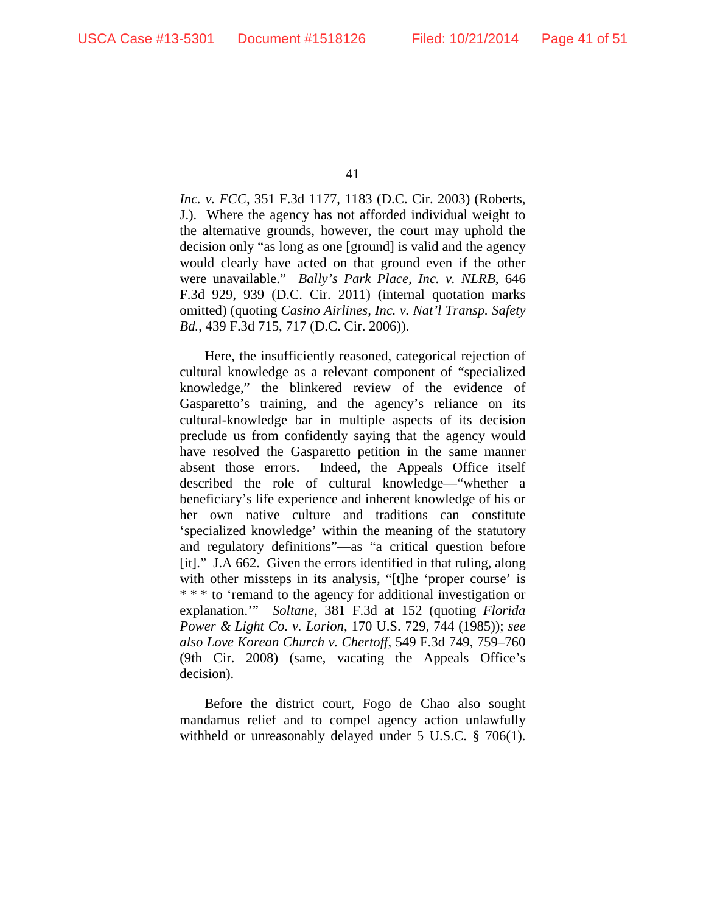*Inc. v. FCC*, 351 F.3d 1177, 1183 (D.C. Cir. 2003) (Roberts, J.). Where the agency has not afforded individual weight to the alternative grounds, however, the court may uphold the decision only "as long as one [ground] is valid and the agency would clearly have acted on that ground even if the other were unavailable." *Bally's Park Place, Inc. v. NLRB*, 646 F.3d 929, 939 (D.C. Cir. 2011) (internal quotation marks omitted) (quoting *Casino Airlines, Inc. v. Nat'l Transp. Safety Bd.*, 439 F.3d 715, 717 (D.C. Cir. 2006)).

Here, the insufficiently reasoned, categorical rejection of cultural knowledge as a relevant component of "specialized knowledge," the blinkered review of the evidence of Gasparetto's training, and the agency's reliance on its cultural-knowledge bar in multiple aspects of its decision preclude us from confidently saying that the agency would have resolved the Gasparetto petition in the same manner absent those errors. Indeed, the Appeals Office itself described the role of cultural knowledge—"whether a beneficiary's life experience and inherent knowledge of his or her own native culture and traditions can constitute 'specialized knowledge' within the meaning of the statutory and regulatory definitions"—as "a critical question before [it]." J.A 662. Given the errors identified in that ruling, along with other missteps in its analysis, "[t]he 'proper course' is \* \* \* to 'remand to the agency for additional investigation or explanation.'" *Soltane*, 381 F.3d at 152 (quoting *Florida Power & Light Co. v. Lorion*, 170 U.S. 729, 744 (1985)); *see also Love Korean Church v. Chertoff*, 549 F.3d 749, 759–760 (9th Cir. 2008) (same, vacating the Appeals Office's decision).

Before the district court, Fogo de Chao also sought mandamus relief and to compel agency action unlawfully withheld or unreasonably delayed under 5 U.S.C. § 706(1).

<sup>41</sup>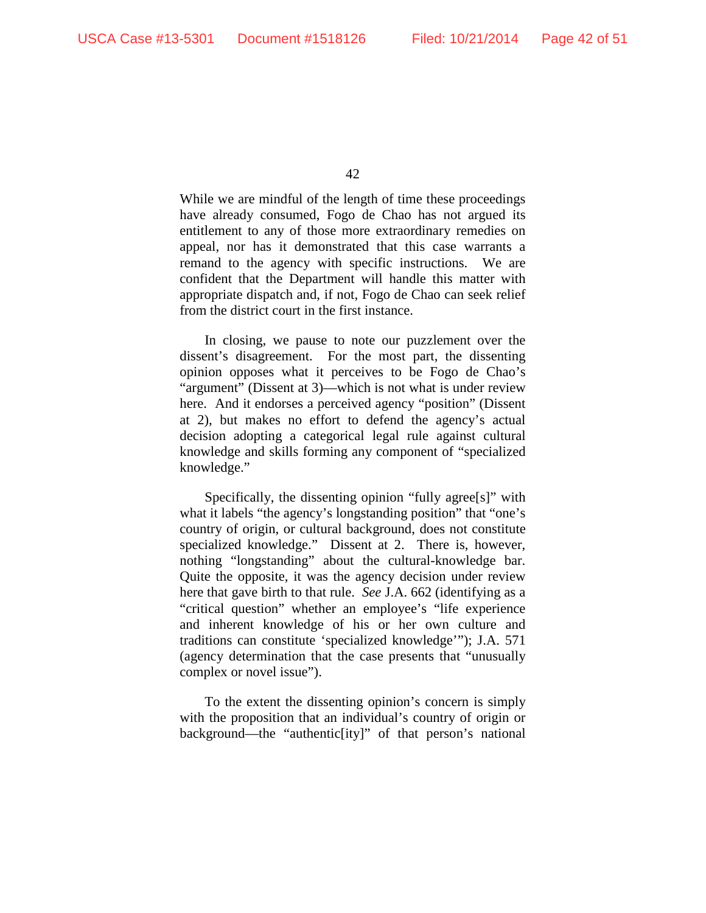While we are mindful of the length of time these proceedings have already consumed, Fogo de Chao has not argued its entitlement to any of those more extraordinary remedies on appeal, nor has it demonstrated that this case warrants a remand to the agency with specific instructions. We are confident that the Department will handle this matter with appropriate dispatch and, if not, Fogo de Chao can seek relief from the district court in the first instance.

In closing, we pause to note our puzzlement over the dissent's disagreement. For the most part, the dissenting opinion opposes what it perceives to be Fogo de Chao's "argument" (Dissent at 3)—which is not what is under review here. And it endorses a perceived agency "position" (Dissent at 2), but makes no effort to defend the agency's actual decision adopting a categorical legal rule against cultural knowledge and skills forming any component of "specialized knowledge."

Specifically, the dissenting opinion "fully agree[s]" with what it labels "the agency's longstanding position" that "one's country of origin, or cultural background, does not constitute specialized knowledge." Dissent at 2. There is, however, nothing "longstanding" about the cultural-knowledge bar. Quite the opposite, it was the agency decision under review here that gave birth to that rule. *See* J.A. 662 (identifying as a "critical question" whether an employee's "life experience and inherent knowledge of his or her own culture and traditions can constitute 'specialized knowledge'"); J.A. 571 (agency determination that the case presents that "unusually complex or novel issue").

To the extent the dissenting opinion's concern is simply with the proposition that an individual's country of origin or background—the "authentic[ity]" of that person's national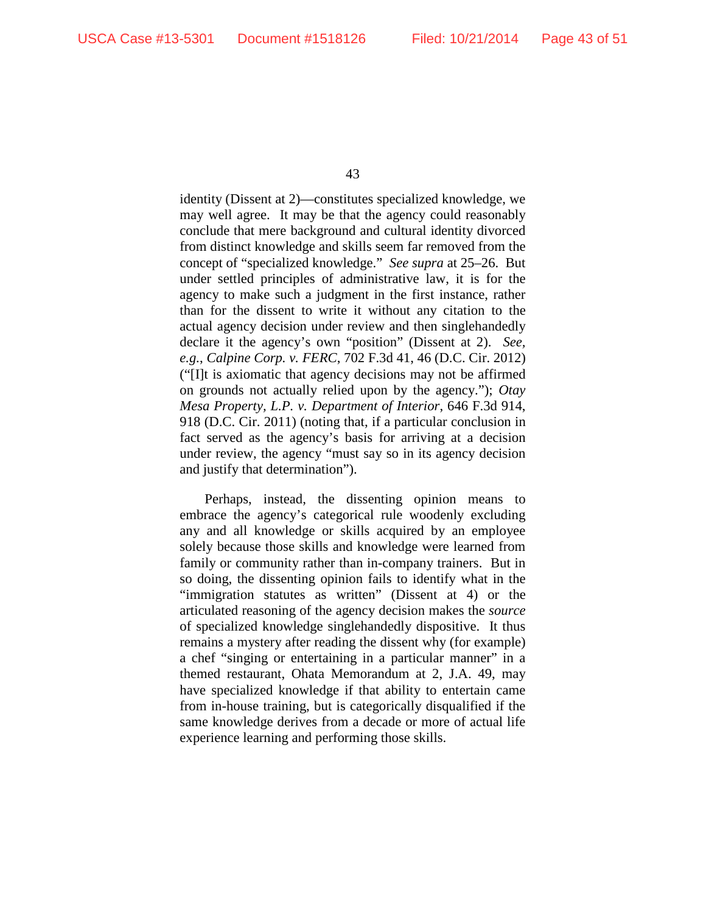identity (Dissent at 2)—constitutes specialized knowledge, we may well agree. It may be that the agency could reasonably conclude that mere background and cultural identity divorced from distinct knowledge and skills seem far removed from the concept of "specialized knowledge." *See supra* at 25–26. But under settled principles of administrative law, it is for the agency to make such a judgment in the first instance, rather than for the dissent to write it without any citation to the actual agency decision under review and then singlehandedly declare it the agency's own "position" (Dissent at 2). *See, e.g.*, *Calpine Corp. v. FERC*, 702 F.3d 41, 46 (D.C. Cir. 2012) ("[I]t is axiomatic that agency decisions may not be affirmed on grounds not actually relied upon by the agency."); *Otay Mesa Property, L.P. v. Department of Interior*, 646 F.3d 914, 918 (D.C. Cir. 2011) (noting that, if a particular conclusion in fact served as the agency's basis for arriving at a decision under review, the agency "must say so in its agency decision and justify that determination").

Perhaps, instead, the dissenting opinion means to embrace the agency's categorical rule woodenly excluding any and all knowledge or skills acquired by an employee solely because those skills and knowledge were learned from family or community rather than in-company trainers. But in so doing, the dissenting opinion fails to identify what in the "immigration statutes as written" (Dissent at 4) or the articulated reasoning of the agency decision makes the *source* of specialized knowledge singlehandedly dispositive. It thus remains a mystery after reading the dissent why (for example) a chef "singing or entertaining in a particular manner" in a themed restaurant, Ohata Memorandum at 2, J.A. 49, may have specialized knowledge if that ability to entertain came from in-house training, but is categorically disqualified if the same knowledge derives from a decade or more of actual life experience learning and performing those skills.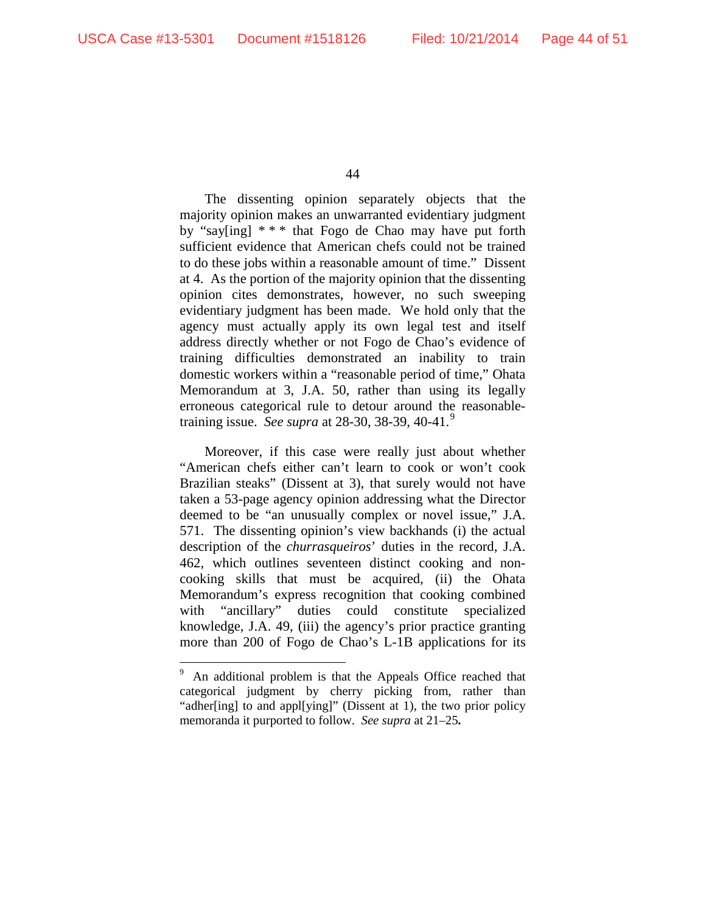The dissenting opinion separately objects that the majority opinion makes an unwarranted evidentiary judgment by "say[ing] \* \* \* that Fogo de Chao may have put forth sufficient evidence that American chefs could not be trained to do these jobs within a reasonable amount of time." Dissent at 4. As the portion of the majority opinion that the dissenting opinion cites demonstrates, however, no such sweeping evidentiary judgment has been made. We hold only that the agency must actually apply its own legal test and itself address directly whether or not Fogo de Chao's evidence of training difficulties demonstrated an inability to train domestic workers within a "reasonable period of time," Ohata Memorandum at 3, J.A. 50, rather than using its legally erroneous categorical rule to detour around the reasonabletraining issue. *See supra* at 28-30, 38-39, 40-41. 9

Moreover, if this case were really just about whether "American chefs either can't learn to cook or won't cook Brazilian steaks" (Dissent at 3), that surely would not have taken a 53-page agency opinion addressing what the Director deemed to be "an unusually complex or novel issue," J.A. 571. The dissenting opinion's view backhands (i) the actual description of the *churrasqueiros*' duties in the record, J.A. 462, which outlines seventeen distinct cooking and noncooking skills that must be acquired, (ii) the Ohata Memorandum's express recognition that cooking combined with "ancillary" duties could constitute specialized knowledge, J.A. 49, (iii) the agency's prior practice granting more than 200 of Fogo de Chao's L-1B applications for its

<sup>-&</sup>lt;br>9 An additional problem is that the Appeals Office reached that categorical judgment by cherry picking from, rather than "adher[ing] to and appl[ying]" (Dissent at 1), the two prior policy memoranda it purported to follow. *See supra* at 21–25**.**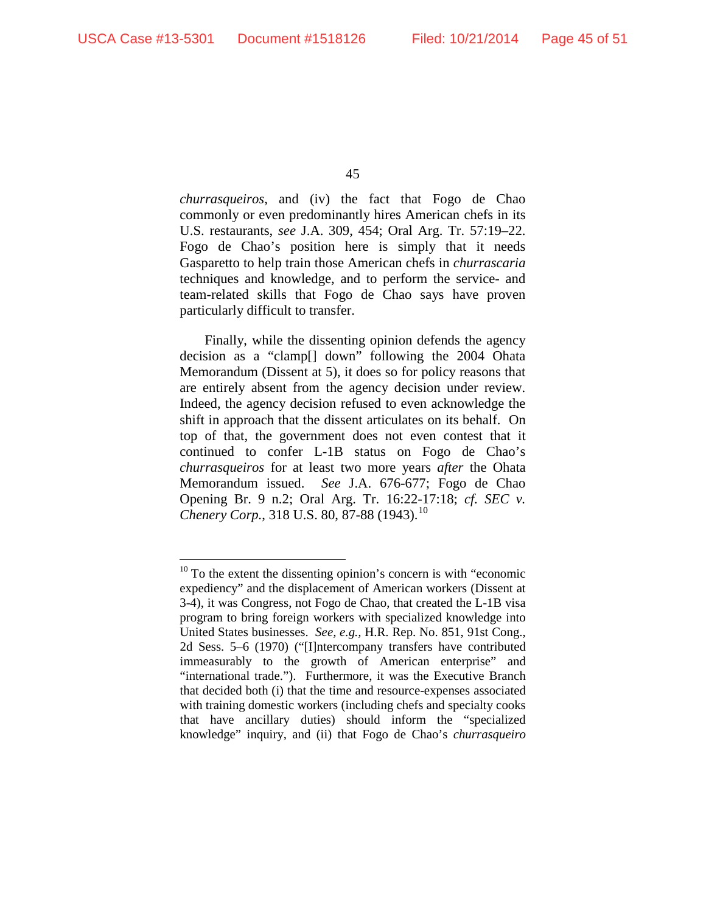*churrasqueiros*, and (iv) the fact that Fogo de Chao commonly or even predominantly hires American chefs in its U.S. restaurants, *see* J.A. 309, 454; Oral Arg. Tr. 57:19–22. Fogo de Chao's position here is simply that it needs Gasparetto to help train those American chefs in *churrascaria* techniques and knowledge, and to perform the service- and team-related skills that Fogo de Chao says have proven particularly difficult to transfer.

Finally, while the dissenting opinion defends the agency decision as a "clamp[] down" following the 2004 Ohata Memorandum (Dissent at 5), it does so for policy reasons that are entirely absent from the agency decision under review. Indeed, the agency decision refused to even acknowledge the shift in approach that the dissent articulates on its behalf. On top of that, the government does not even contest that it continued to confer L-1B status on Fogo de Chao's *churrasqueiros* for at least two more years *after* the Ohata Memorandum issued. *See* J.A. 676-677; Fogo de Chao Opening Br. 9 n.2; Oral Arg. Tr. 16:22-17:18; *cf. SEC v. Chenery Corp.*, 318 U.S. 80, 87-88 (1943). 10

 $10$  To the extent the dissenting opinion's concern is with "economic" expediency" and the displacement of American workers (Dissent at 3-4), it was Congress, not Fogo de Chao, that created the L-1B visa program to bring foreign workers with specialized knowledge into United States businesses. *See, e.g.,* H.R. Rep. No. 851, 91st Cong., 2d Sess. 5–6 (1970) ("[I]ntercompany transfers have contributed immeasurably to the growth of American enterprise" and "international trade."). Furthermore, it was the Executive Branch that decided both (i) that the time and resource-expenses associated with training domestic workers (including chefs and specialty cooks that have ancillary duties) should inform the "specialized knowledge" inquiry, and (ii) that Fogo de Chao's *churrasqueiro*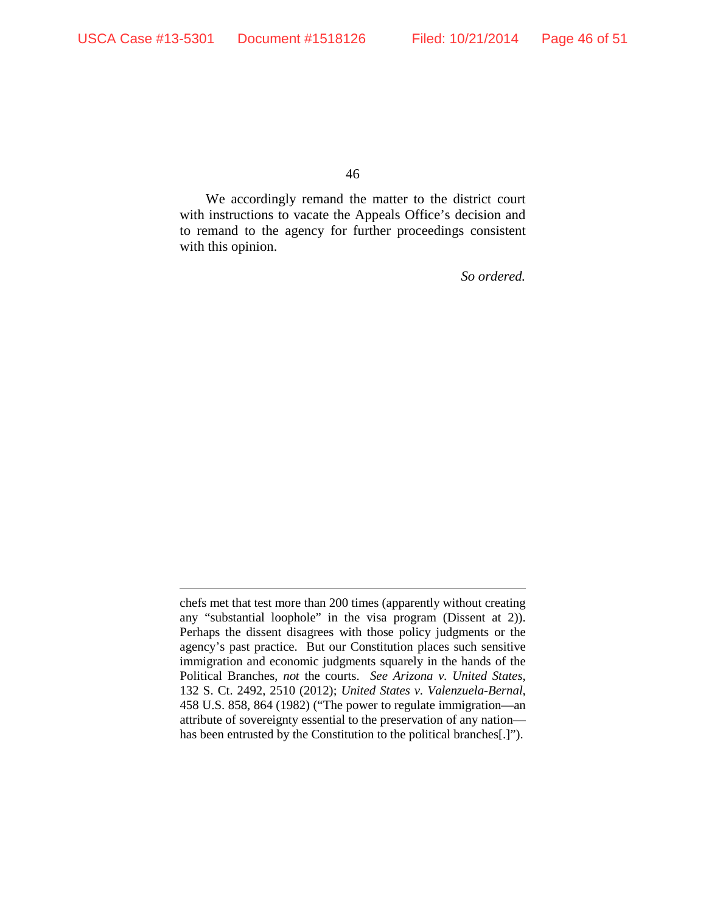$\overline{a}$ 

46

We accordingly remand the matter to the district court with instructions to vacate the Appeals Office's decision and to remand to the agency for further proceedings consistent with this opinion.

*So ordered.*

chefs met that test more than 200 times (apparently without creating any "substantial loophole" in the visa program (Dissent at 2)). Perhaps the dissent disagrees with those policy judgments or the agency's past practice. But our Constitution places such sensitive immigration and economic judgments squarely in the hands of the Political Branches, *not* the courts. *See Arizona v. United States*, 132 S. Ct. 2492, 2510 (2012); *United States v. Valenzuela-Bernal*, 458 U.S. 858, 864 (1982) ("The power to regulate immigration—an attribute of sovereignty essential to the preservation of any nation has been entrusted by the Constitution to the political branches[.]").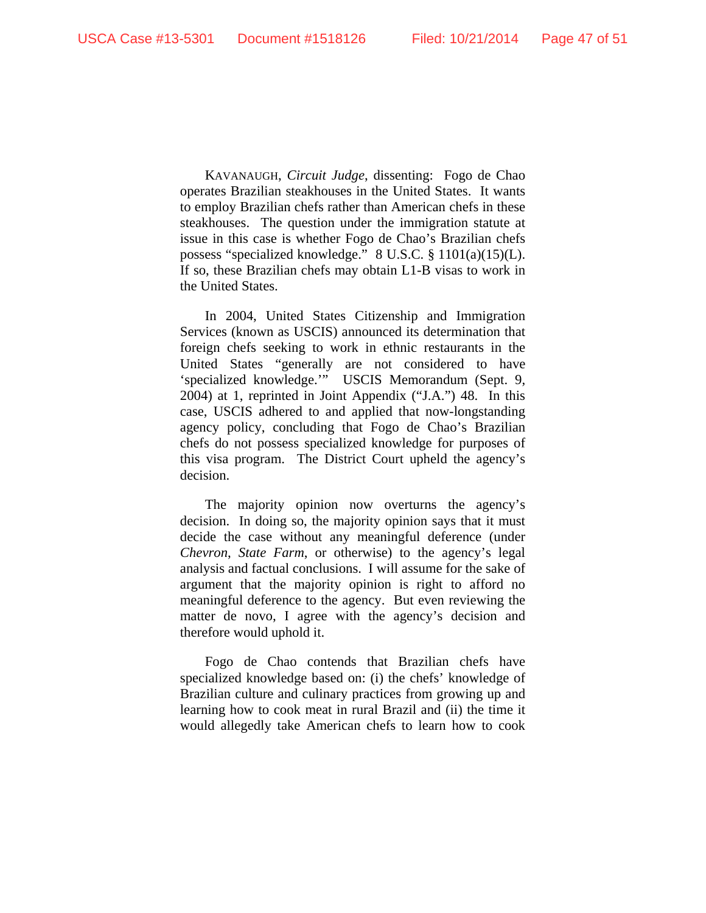KAVANAUGH, *Circuit Judge*, dissenting: Fogo de Chao operates Brazilian steakhouses in the United States. It wants to employ Brazilian chefs rather than American chefs in these steakhouses. The question under the immigration statute at issue in this case is whether Fogo de Chao's Brazilian chefs possess "specialized knowledge." 8 U.S.C. § 1101(a)(15)(L). If so, these Brazilian chefs may obtain L1-B visas to work in the United States.

In 2004, United States Citizenship and Immigration Services (known as USCIS) announced its determination that foreign chefs seeking to work in ethnic restaurants in the United States "generally are not considered to have 'specialized knowledge.'" USCIS Memorandum (Sept. 9, 2004) at 1, reprinted in Joint Appendix ("J.A.") 48. In this case, USCIS adhered to and applied that now-longstanding agency policy, concluding that Fogo de Chao's Brazilian chefs do not possess specialized knowledge for purposes of this visa program. The District Court upheld the agency's decision.

The majority opinion now overturns the agency's decision. In doing so, the majority opinion says that it must decide the case without any meaningful deference (under *Chevron*, *State Farm*, or otherwise) to the agency's legal analysis and factual conclusions. I will assume for the sake of argument that the majority opinion is right to afford no meaningful deference to the agency. But even reviewing the matter de novo, I agree with the agency's decision and therefore would uphold it.

Fogo de Chao contends that Brazilian chefs have specialized knowledge based on: (i) the chefs' knowledge of Brazilian culture and culinary practices from growing up and learning how to cook meat in rural Brazil and (ii) the time it would allegedly take American chefs to learn how to cook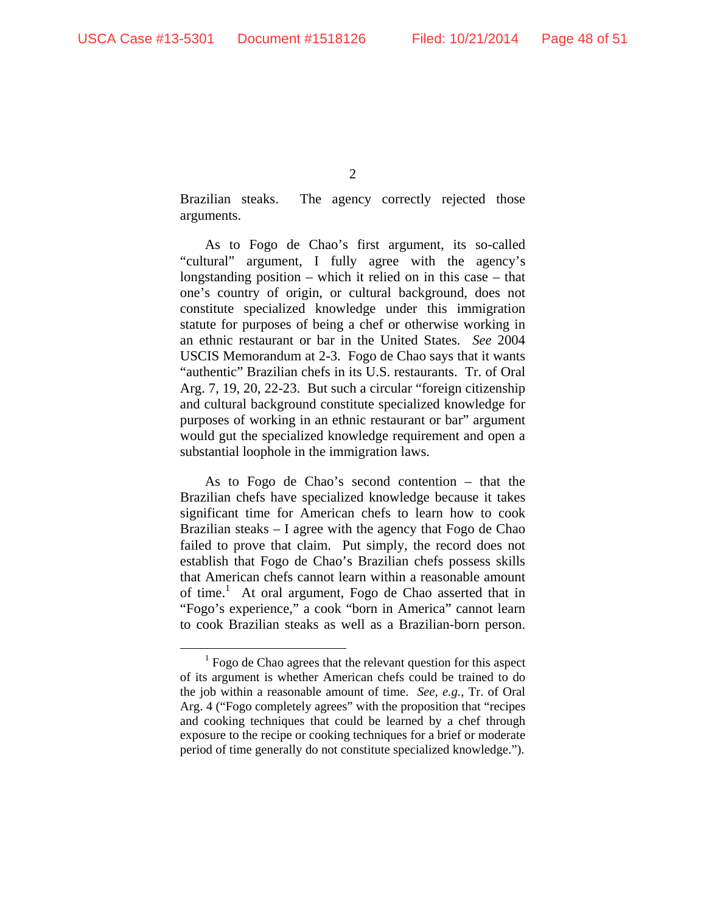Brazilian steaks. The agency correctly rejected those arguments.

As to Fogo de Chao's first argument, its so-called "cultural" argument, I fully agree with the agency's longstanding position – which it relied on in this case – that one's country of origin, or cultural background, does not constitute specialized knowledge under this immigration statute for purposes of being a chef or otherwise working in an ethnic restaurant or bar in the United States. *See* 2004 USCIS Memorandum at 2-3. Fogo de Chao says that it wants "authentic" Brazilian chefs in its U.S. restaurants. Tr. of Oral Arg. 7, 19, 20, 22-23. But such a circular "foreign citizenship and cultural background constitute specialized knowledge for purposes of working in an ethnic restaurant or bar" argument would gut the specialized knowledge requirement and open a substantial loophole in the immigration laws.

As to Fogo de Chao's second contention – that the Brazilian chefs have specialized knowledge because it takes significant time for American chefs to learn how to cook Brazilian steaks – I agree with the agency that Fogo de Chao failed to prove that claim. Put simply, the record does not establish that Fogo de Chao's Brazilian chefs possess skills that American chefs cannot learn within a reasonable amount of time.<sup>1</sup> At oral argument, Fogo de Chao asserted that in "Fogo's experience," a cook "born in America" cannot learn to cook Brazilian steaks as well as a Brazilian-born person.

 <sup>1</sup>  $<sup>1</sup>$  Fogo de Chao agrees that the relevant question for this aspect</sup> of its argument is whether American chefs could be trained to do the job within a reasonable amount of time. *See, e.g.*, Tr. of Oral Arg. 4 ("Fogo completely agrees" with the proposition that "recipes and cooking techniques that could be learned by a chef through exposure to the recipe or cooking techniques for a brief or moderate period of time generally do not constitute specialized knowledge.").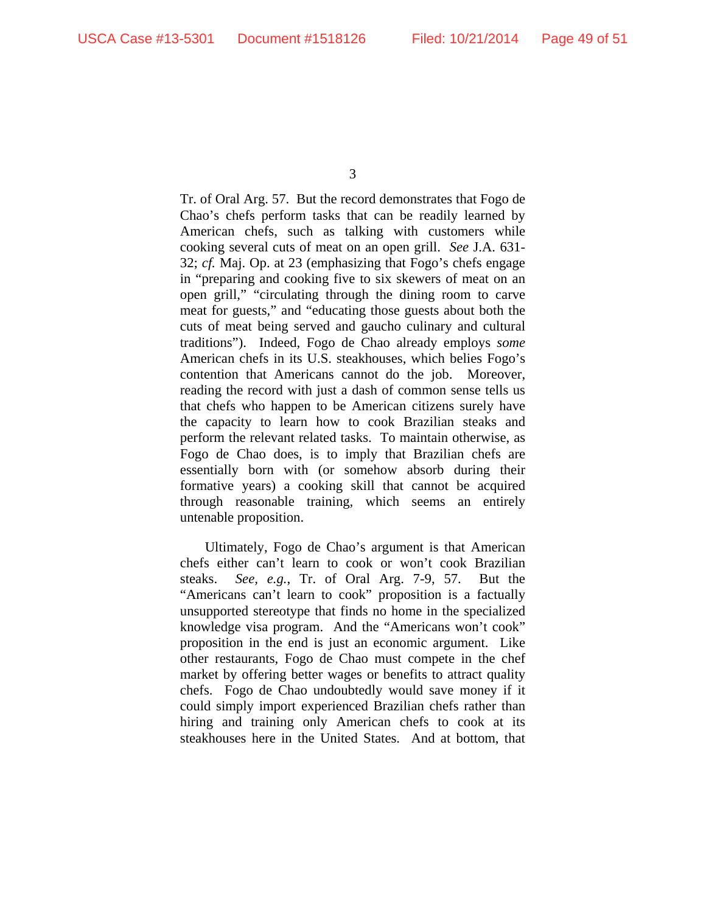Tr. of Oral Arg. 57. But the record demonstrates that Fogo de Chao's chefs perform tasks that can be readily learned by American chefs, such as talking with customers while cooking several cuts of meat on an open grill. *See* J.A. 631- 32; *cf.* Maj. Op. at 23 (emphasizing that Fogo's chefs engage in "preparing and cooking five to six skewers of meat on an open grill," "circulating through the dining room to carve meat for guests," and "educating those guests about both the cuts of meat being served and gaucho culinary and cultural traditions"). Indeed, Fogo de Chao already employs *some*  American chefs in its U.S. steakhouses, which belies Fogo's contention that Americans cannot do the job. Moreover, reading the record with just a dash of common sense tells us that chefs who happen to be American citizens surely have the capacity to learn how to cook Brazilian steaks and perform the relevant related tasks. To maintain otherwise, as Fogo de Chao does, is to imply that Brazilian chefs are essentially born with (or somehow absorb during their formative years) a cooking skill that cannot be acquired through reasonable training, which seems an entirely untenable proposition.

Ultimately, Fogo de Chao's argument is that American chefs either can't learn to cook or won't cook Brazilian steaks. *See, e.g.*, Tr. of Oral Arg. 7-9, 57. But the "Americans can't learn to cook" proposition is a factually unsupported stereotype that finds no home in the specialized knowledge visa program. And the "Americans won't cook" proposition in the end is just an economic argument. Like other restaurants, Fogo de Chao must compete in the chef market by offering better wages or benefits to attract quality chefs. Fogo de Chao undoubtedly would save money if it could simply import experienced Brazilian chefs rather than hiring and training only American chefs to cook at its steakhouses here in the United States. And at bottom, that

<sup>3</sup>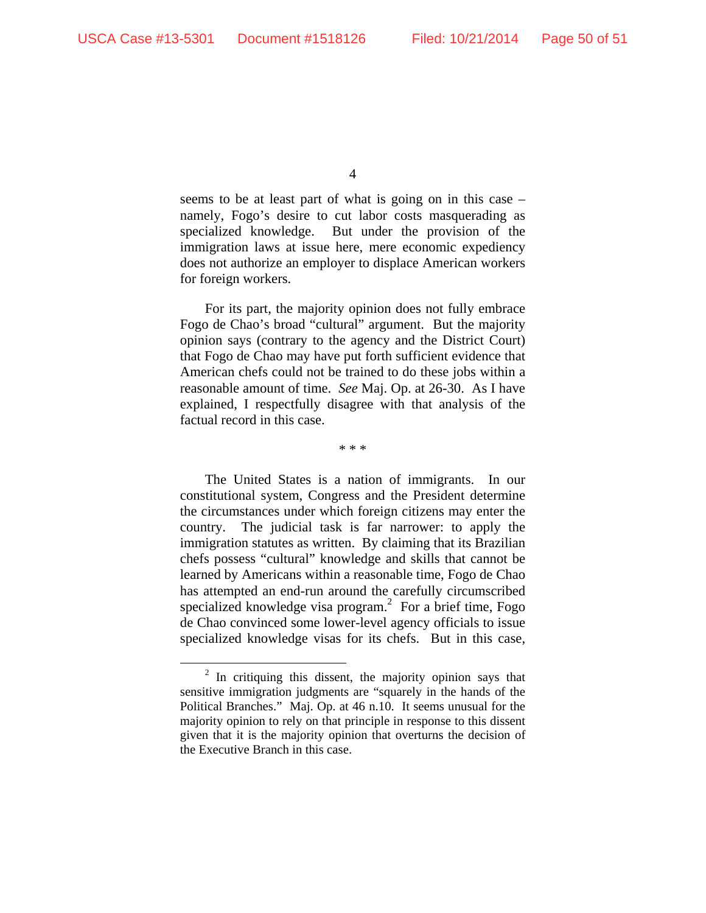seems to be at least part of what is going on in this case – namely, Fogo's desire to cut labor costs masquerading as specialized knowledge. But under the provision of the immigration laws at issue here, mere economic expediency does not authorize an employer to displace American workers for foreign workers.

For its part, the majority opinion does not fully embrace Fogo de Chao's broad "cultural" argument. But the majority opinion says (contrary to the agency and the District Court) that Fogo de Chao may have put forth sufficient evidence that American chefs could not be trained to do these jobs within a reasonable amount of time. *See* Maj. Op. at 26-30. As I have explained, I respectfully disagree with that analysis of the factual record in this case.

\* \* \*

The United States is a nation of immigrants. In our constitutional system, Congress and the President determine the circumstances under which foreign citizens may enter the country. The judicial task is far narrower: to apply the immigration statutes as written. By claiming that its Brazilian chefs possess "cultural" knowledge and skills that cannot be learned by Americans within a reasonable time, Fogo de Chao has attempted an end-run around the carefully circumscribed specialized knowledge visa program.<sup>2</sup> For a brief time, Fogo de Chao convinced some lower-level agency officials to issue specialized knowledge visas for its chefs. But in this case,

 <sup>2</sup>  $2$  In critiquing this dissent, the majority opinion says that sensitive immigration judgments are "squarely in the hands of the Political Branches." Maj. Op. at 46 n.10. It seems unusual for the majority opinion to rely on that principle in response to this dissent given that it is the majority opinion that overturns the decision of the Executive Branch in this case.